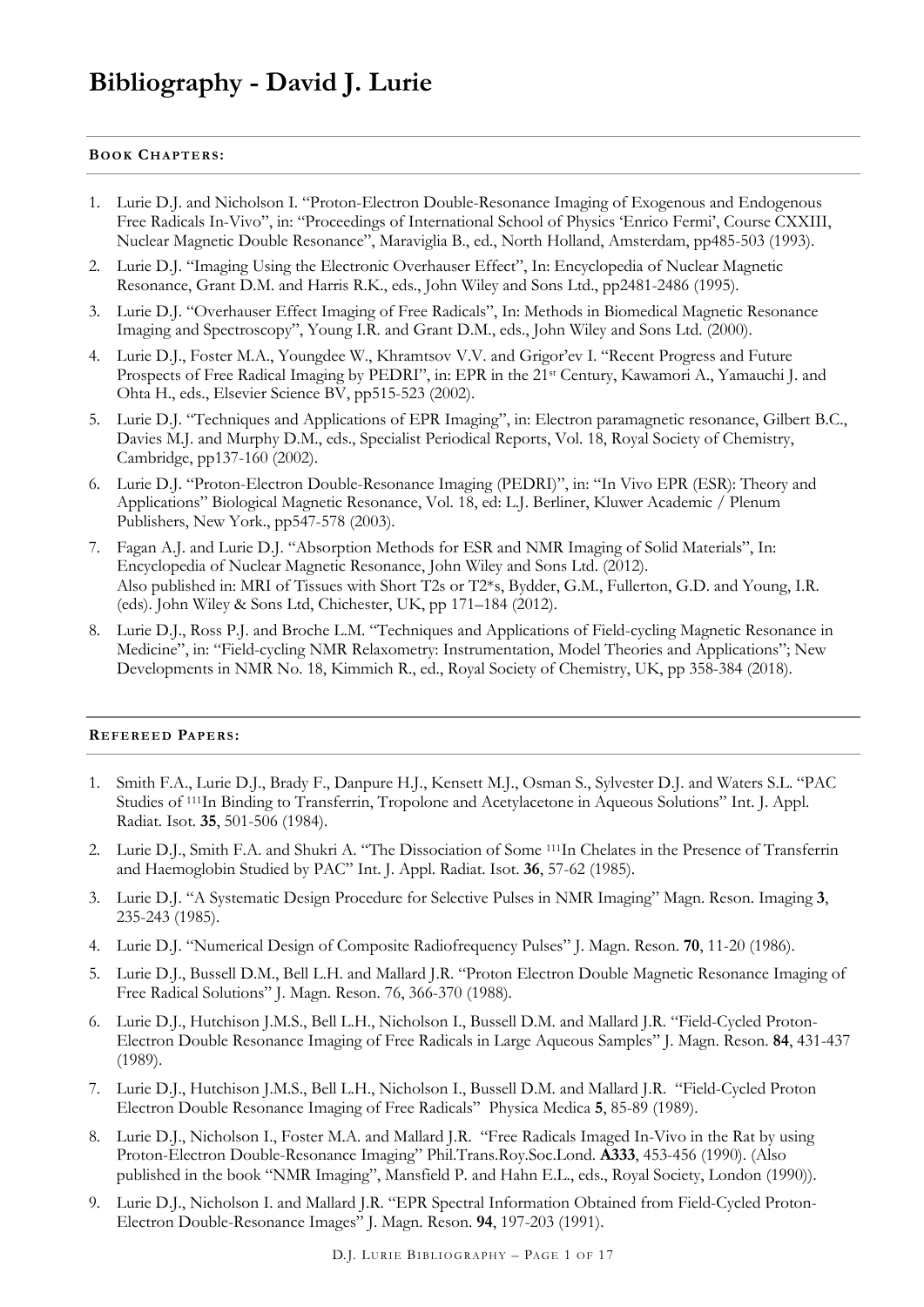# **Bibliography - David J. Lurie**

### **BOOK CHAPTERS :**

- 1. Lurie D.J. and Nicholson I. "Proton-Electron Double-Resonance Imaging of Exogenous and Endogenous Free Radicals In-Vivo", in: "Proceedings of International School of Physics 'Enrico Fermi', Course CXXIII, Nuclear Magnetic Double Resonance", Maraviglia B., ed., North Holland, Amsterdam, pp485-503 (1993).
- 2. Lurie D.J. "Imaging Using the Electronic Overhauser Effect", In: Encyclopedia of Nuclear Magnetic Resonance, Grant D.M. and Harris R.K., eds., John Wiley and Sons Ltd., pp2481-2486 (1995).
- 3. Lurie D.J. "Overhauser Effect Imaging of Free Radicals", In: Methods in Biomedical Magnetic Resonance Imaging and Spectroscopy", Young I.R. and Grant D.M., eds., John Wiley and Sons Ltd. (2000).
- 4. Lurie D.J., Foster M.A., Youngdee W., Khramtsov V.V. and Grigor'ev I. "Recent Progress and Future Prospects of Free Radical Imaging by PEDRI", in: EPR in the 21<sup>st</sup> Century, Kawamori A., Yamauchi J. and Ohta H., eds., Elsevier Science BV, pp515-523 (2002).
- 5. Lurie D.J. "Techniques and Applications of EPR Imaging", in: Electron paramagnetic resonance, Gilbert B.C., Davies M.J. and Murphy D.M., eds., Specialist Periodical Reports, Vol. 18, Royal Society of Chemistry, Cambridge, pp137-160 (2002).
- 6. Lurie D.J. "Proton-Electron Double-Resonance Imaging (PEDRI)", in: "In Vivo EPR (ESR): Theory and Applications" Biological Magnetic Resonance, Vol. 18, ed: L.J. Berliner, Kluwer Academic / Plenum Publishers, New York., pp547-578 (2003).
- 7. Fagan A.J. and Lurie D.J. "Absorption Methods for ESR and NMR Imaging of Solid Materials", In: Encyclopedia of Nuclear Magnetic Resonance, John Wiley and Sons Ltd. (2012). Also published in: MRI of Tissues with Short T2s or T2\*s, Bydder, G.M., Fullerton, G.D. and Young, I.R. (eds). John Wiley & Sons Ltd, Chichester, UK, pp 171–184 (2012).
- 8. Lurie D.J., Ross P.J. and Broche L.M. "Techniques and Applications of Field-cycling Magnetic Resonance in Medicine", in: "Field-cycling NMR Relaxometry: Instrumentation, Model Theories and Applications"; New Developments in NMR No. 18, Kimmich R., ed., Royal Society of Chemistry, UK, pp 358-384 (2018).

### **REFEREED PAPERS :**

- 1. Smith F.A., Lurie D.J., Brady F., Danpure H.J., Kensett M.J., Osman S., Sylvester D.J. and Waters S.L. "PAC Studies of 111In Binding to Transferrin, Tropolone and Acetylacetone in Aqueous Solutions" Int. J. Appl. Radiat. Isot. **35**, 501-506 (1984).
- 2. Lurie D.J., Smith F.A. and Shukri A. "The Dissociation of Some 111In Chelates in the Presence of Transferrin and Haemoglobin Studied by PAC" Int. J. Appl. Radiat. Isot. **36**, 57-62 (1985).
- 3. Lurie D.J. "A Systematic Design Procedure for Selective Pulses in NMR Imaging" Magn. Reson. Imaging **3**, 235-243 (1985).
- 4. Lurie D.J. "Numerical Design of Composite Radiofrequency Pulses" J. Magn. Reson. **70**, 11-20 (1986).
- 5. Lurie D.J., Bussell D.M., Bell L.H. and Mallard J.R. "Proton Electron Double Magnetic Resonance Imaging of Free Radical Solutions" J. Magn. Reson. 76, 366-370 (1988).
- 6. Lurie D.J., Hutchison J.M.S., Bell L.H., Nicholson I., Bussell D.M. and Mallard J.R. "Field-Cycled Proton-Electron Double Resonance Imaging of Free Radicals in Large Aqueous Samples" J. Magn. Reson. **84**, 431-437 (1989).
- 7. Lurie D.J., Hutchison J.M.S., Bell L.H., Nicholson I., Bussell D.M. and Mallard J.R. "Field-Cycled Proton Electron Double Resonance Imaging of Free Radicals" Physica Medica **5**, 85-89 (1989).
- 8. Lurie D.J., Nicholson I., Foster M.A. and Mallard J.R. "Free Radicals Imaged In-Vivo in the Rat by using Proton-Electron Double-Resonance Imaging" Phil.Trans.Roy.Soc.Lond. **A333**, 453-456 (1990). (Also published in the book "NMR Imaging", Mansfield P. and Hahn E.L., eds., Royal Society, London (1990)).
- 9. Lurie D.J., Nicholson I. and Mallard J.R. "EPR Spectral Information Obtained from Field-Cycled Proton-Electron Double-Resonance Images" J. Magn. Reson. **94**, 197-203 (1991).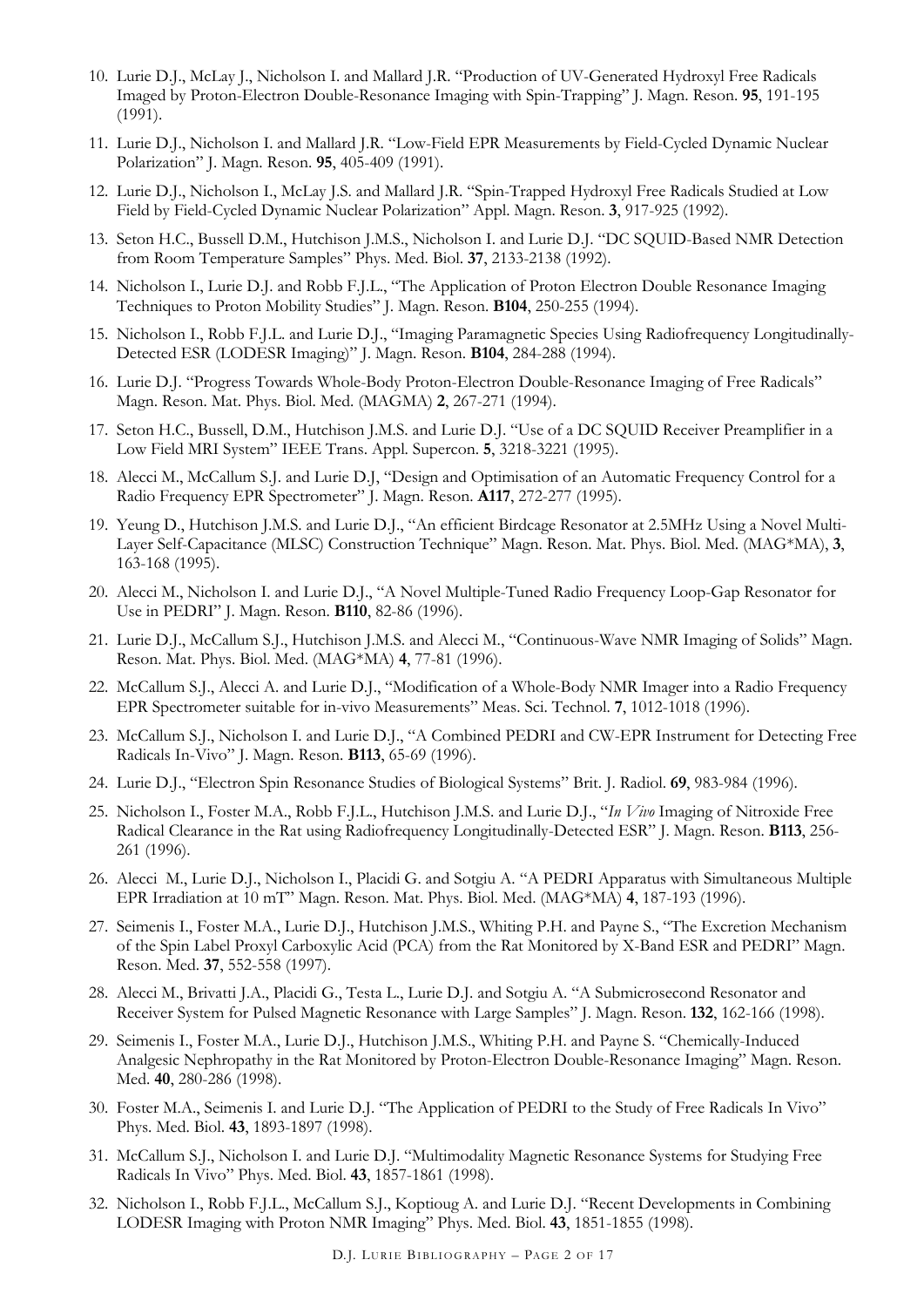- 10. Lurie D.J., McLay J., Nicholson I. and Mallard J.R. "Production of UV-Generated Hydroxyl Free Radicals Imaged by Proton-Electron Double-Resonance Imaging with Spin-Trapping" J. Magn. Reson. **95**, 191-195 (1991).
- 11. Lurie D.J., Nicholson I. and Mallard J.R. "Low-Field EPR Measurements by Field-Cycled Dynamic Nuclear Polarization" J. Magn. Reson. **95**, 405-409 (1991).
- 12. Lurie D.J., Nicholson I., McLay J.S. and Mallard J.R. "Spin-Trapped Hydroxyl Free Radicals Studied at Low Field by Field-Cycled Dynamic Nuclear Polarization" Appl. Magn. Reson. **3**, 917-925 (1992).
- 13. Seton H.C., Bussell D.M., Hutchison J.M.S., Nicholson I. and Lurie D.J. "DC SQUID-Based NMR Detection from Room Temperature Samples" Phys. Med. Biol. **37**, 2133-2138 (1992).
- 14. Nicholson I., Lurie D.J. and Robb F.J.L., "The Application of Proton Electron Double Resonance Imaging Techniques to Proton Mobility Studies" J. Magn. Reson. **B104**, 250-255 (1994).
- 15. Nicholson I., Robb F.J.L. and Lurie D.J., "Imaging Paramagnetic Species Using Radiofrequency Longitudinally-Detected ESR (LODESR Imaging)" J. Magn. Reson. **B104**, 284-288 (1994).
- 16. Lurie D.J. "Progress Towards Whole-Body Proton-Electron Double-Resonance Imaging of Free Radicals" Magn. Reson. Mat. Phys. Biol. Med. (MAGMA) **2**, 267-271 (1994).
- 17. Seton H.C., Bussell, D.M., Hutchison J.M.S. and Lurie D.J. "Use of a DC SQUID Receiver Preamplifier in a Low Field MRI System" IEEE Trans. Appl. Supercon. **5**, 3218-3221 (1995).
- 18. Alecci M., McCallum S.J. and Lurie D.J, "Design and Optimisation of an Automatic Frequency Control for a Radio Frequency EPR Spectrometer" J. Magn. Reson. **A117**, 272-277 (1995).
- 19. Yeung D., Hutchison J.M.S. and Lurie D.J., "An efficient Birdcage Resonator at 2.5MHz Using a Novel Multi-Layer Self-Capacitance (MLSC) Construction Technique" Magn. Reson. Mat. Phys. Biol. Med. (MAG\*MA), **3**, 163-168 (1995).
- 20. Alecci M., Nicholson I. and Lurie D.J., "A Novel Multiple-Tuned Radio Frequency Loop-Gap Resonator for Use in PEDRI" J. Magn. Reson. **B110**, 82-86 (1996).
- 21. Lurie D.J., McCallum S.J., Hutchison J.M.S. and Alecci M., "Continuous-Wave NMR Imaging of Solids" Magn. Reson. Mat. Phys. Biol. Med. (MAG\*MA) **4**, 77-81 (1996).
- 22. McCallum S.J., Alecci A. and Lurie D.J., "Modification of a Whole-Body NMR Imager into a Radio Frequency EPR Spectrometer suitable for in-vivo Measurements" Meas. Sci. Technol. **7**, 1012-1018 (1996).
- 23. McCallum S.J., Nicholson I. and Lurie D.J., "A Combined PEDRI and CW-EPR Instrument for Detecting Free Radicals In-Vivo" J. Magn. Reson. **B113**, 65-69 (1996).
- 24. Lurie D.J., "Electron Spin Resonance Studies of Biological Systems" Brit. J. Radiol. **69**, 983-984 (1996).
- 25. Nicholson I., Foster M.A., Robb F.J.L., Hutchison J.M.S. and Lurie D.J., "*In Vivo* Imaging of Nitroxide Free Radical Clearance in the Rat using Radiofrequency Longitudinally-Detected ESR" J. Magn. Reson. **B113**, 256- 261 (1996).
- 26. Alecci M., Lurie D.J., Nicholson I., Placidi G. and Sotgiu A. "A PEDRI Apparatus with Simultaneous Multiple EPR Irradiation at 10 mT" Magn. Reson. Mat. Phys. Biol. Med. (MAG\*MA) **4**, 187-193 (1996).
- 27. Seimenis I., Foster M.A., Lurie D.J., Hutchison J.M.S., Whiting P.H. and Payne S., "The Excretion Mechanism of the Spin Label Proxyl Carboxylic Acid (PCA) from the Rat Monitored by X-Band ESR and PEDRI" Magn. Reson. Med. **37**, 552-558 (1997).
- 28. Alecci M., Brivatti J.A., Placidi G., Testa L., Lurie D.J. and Sotgiu A. "A Submicrosecond Resonator and Receiver System for Pulsed Magnetic Resonance with Large Samples" J. Magn. Reson. **132**, 162-166 (1998).
- 29. Seimenis I., Foster M.A., Lurie D.J., Hutchison J.M.S., Whiting P.H. and Payne S. "Chemically-Induced Analgesic Nephropathy in the Rat Monitored by Proton-Electron Double-Resonance Imaging" Magn. Reson. Med. **40**, 280-286 (1998).
- 30. Foster M.A., Seimenis I. and Lurie D.J. "The Application of PEDRI to the Study of Free Radicals In Vivo" Phys. Med. Biol. **43**, 1893-1897 (1998).
- 31. McCallum S.J., Nicholson I. and Lurie D.J. "Multimodality Magnetic Resonance Systems for Studying Free Radicals In Vivo" Phys. Med. Biol. **43**, 1857-1861 (1998).
- 32. Nicholson I., Robb F.J.L., McCallum S.J., Koptioug A. and Lurie D.J. "Recent Developments in Combining LODESR Imaging with Proton NMR Imaging" Phys. Med. Biol. **43**, 1851-1855 (1998).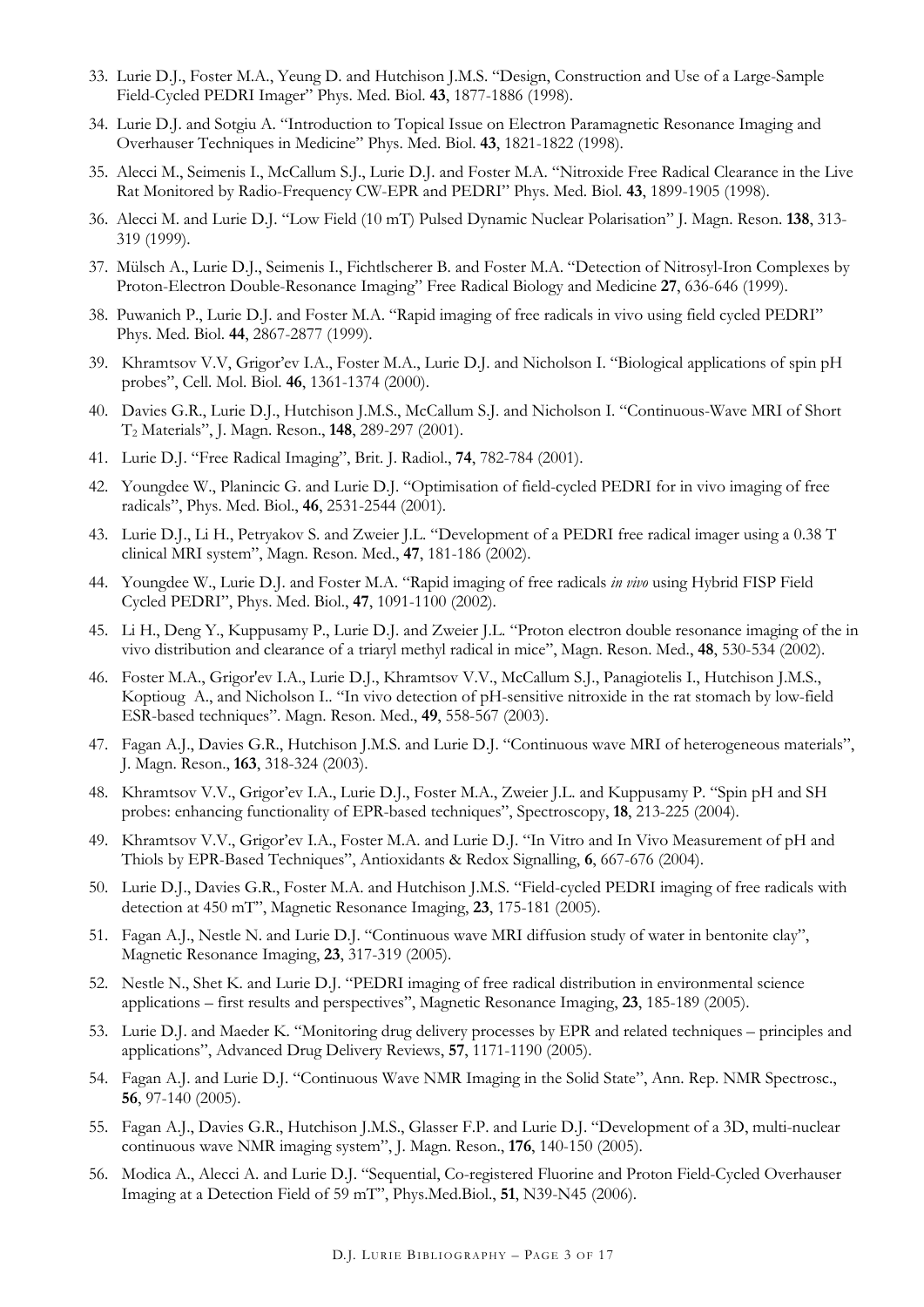- 33. Lurie D.J., Foster M.A., Yeung D. and Hutchison J.M.S. "Design, Construction and Use of a Large-Sample Field-Cycled PEDRI Imager" Phys. Med. Biol. **43**, 1877-1886 (1998).
- 34. Lurie D.J. and Sotgiu A. "Introduction to Topical Issue on Electron Paramagnetic Resonance Imaging and Overhauser Techniques in Medicine" Phys. Med. Biol. **43**, 1821-1822 (1998).
- 35. Alecci M., Seimenis I., McCallum S.J., Lurie D.J. and Foster M.A. "Nitroxide Free Radical Clearance in the Live Rat Monitored by Radio-Frequency CW-EPR and PEDRI" Phys. Med. Biol. **43**, 1899-1905 (1998).
- 36. Alecci M. and Lurie D.J. "Low Field (10 mT) Pulsed Dynamic Nuclear Polarisation" J. Magn. Reson. **138**, 313- 319 (1999).
- 37. Mülsch A., Lurie D.J., Seimenis I., Fichtlscherer B. and Foster M.A. "Detection of Nitrosyl-Iron Complexes by Proton-Electron Double-Resonance Imaging" Free Radical Biology and Medicine **27**, 636-646 (1999).
- 38. Puwanich P., Lurie D.J. and Foster M.A. "Rapid imaging of free radicals in vivo using field cycled PEDRI" Phys. Med. Biol. **44**, 2867-2877 (1999).
- 39. Khramtsov V.V, Grigor'ev I.A., Foster M.A., Lurie D.J. and Nicholson I. "Biological applications of spin pH probes", Cell. Mol. Biol. **46**, 1361-1374 (2000).
- 40. Davies G.R., Lurie D.J., Hutchison J.M.S., McCallum S.J. and Nicholson I. "Continuous-Wave MRI of Short T2 Materials", J. Magn. Reson., **148**, 289-297 (2001).
- 41. Lurie D.J. "Free Radical Imaging", Brit. J. Radiol., **74**, 782-784 (2001).
- 42. Youngdee W., Planincic G. and Lurie D.J. "Optimisation of field-cycled PEDRI for in vivo imaging of free radicals", Phys. Med. Biol., **46**, 2531-2544 (2001).
- 43. Lurie D.J., Li H., Petryakov S. and Zweier J.L. "Development of a PEDRI free radical imager using a 0.38 T clinical MRI system", Magn. Reson. Med., **47**, 181-186 (2002).
- 44. Youngdee W., Lurie D.J. and Foster M.A. "Rapid imaging of free radicals *in vivo* using Hybrid FISP Field Cycled PEDRI", Phys. Med. Biol., **47**, 1091-1100 (2002).
- 45. Li H., Deng Y., Kuppusamy P., Lurie D.J. and Zweier J.L. "Proton electron double resonance imaging of the in vivo distribution and clearance of a triaryl methyl radical in mice", Magn. Reson. Med., **48**, 530-534 (2002).
- 46. Foster M.A., Grigor'ev I.A., Lurie D.J., Khramtsov V.V., McCallum S.J., Panagiotelis I., Hutchison J.M.S., Koptioug A., and Nicholson I.. "In vivo detection of pH-sensitive nitroxide in the rat stomach by low-field ESR-based techniques". Magn. Reson. Med., **49**, 558-567 (2003).
- 47. Fagan A.J., Davies G.R., Hutchison J.M.S. and Lurie D.J. "Continuous wave MRI of heterogeneous materials", J. Magn. Reson., **163**, 318-324 (2003).
- 48. Khramtsov V.V., Grigor'ev I.A., Lurie D.J., Foster M.A., Zweier J.L. and Kuppusamy P. "Spin pH and SH probes: enhancing functionality of EPR-based techniques", Spectroscopy, **18**, 213-225 (2004).
- 49. Khramtsov V.V., Grigor'ev I.A., Foster M.A. and Lurie D.J. "In Vitro and In Vivo Measurement of pH and Thiols by EPR-Based Techniques", Antioxidants & Redox Signalling, **6**, 667-676 (2004).
- 50. Lurie D.J., Davies G.R., Foster M.A. and Hutchison J.M.S. "Field-cycled PEDRI imaging of free radicals with detection at 450 mT", Magnetic Resonance Imaging, **23**, 175-181 (2005).
- 51. Fagan A.J., Nestle N. and Lurie D.J. "Continuous wave MRI diffusion study of water in bentonite clay", Magnetic Resonance Imaging, **23**, 317-319 (2005).
- 52. Nestle N., Shet K. and Lurie D.J. "PEDRI imaging of free radical distribution in environmental science applications – first results and perspectives", Magnetic Resonance Imaging, **23**, 185-189 (2005).
- 53. Lurie D.J. and Maeder K. "Monitoring drug delivery processes by EPR and related techniques principles and applications", Advanced Drug Delivery Reviews, **57**, 1171-1190 (2005).
- 54. Fagan A.J. and Lurie D.J. "Continuous Wave NMR Imaging in the Solid State", Ann. Rep. NMR Spectrosc., **56**, 97-140 (2005).
- 55. Fagan A.J., Davies G.R., Hutchison J.M.S., Glasser F.P. and Lurie D.J. "Development of a 3D, multi-nuclear continuous wave NMR imaging system", J. Magn. Reson., **176**, 140-150 (2005).
- 56. Modica A., Alecci A. and Lurie D.J. "Sequential, Co-registered Fluorine and Proton Field-Cycled Overhauser Imaging at a Detection Field of 59 mT", Phys.Med.Biol., **51**, N39-N45 (2006).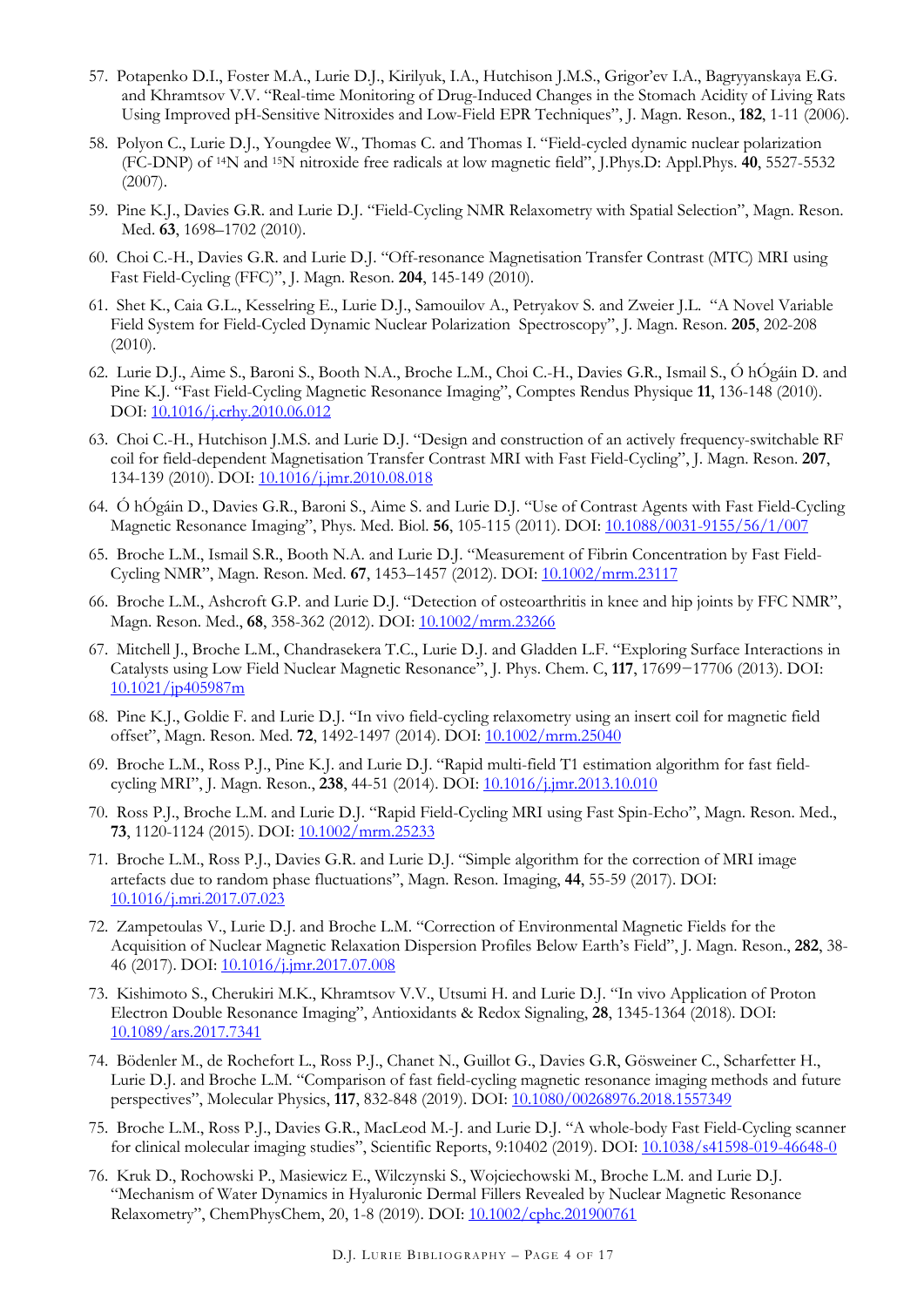- 57. Potapenko D.I., Foster M.A., Lurie D.J., Kirilyuk, I.A., Hutchison J.M.S., Grigor'ev I.A., Bagryyanskaya E.G. and Khramtsov V.V. "Real-time Monitoring of Drug-Induced Changes in the Stomach Acidity of Living Rats Using Improved pH-Sensitive Nitroxides and Low-Field EPR Techniques", J. Magn. Reson., **182**, 1-11 (2006).
- 58. Polyon C., Lurie D.J., Youngdee W., Thomas C. and Thomas I. "Field-cycled dynamic nuclear polarization (FC-DNP) of 14N and 15N nitroxide free radicals at low magnetic field", J.Phys.D: Appl.Phys. **40**, 5527-5532 (2007).
- 59. Pine K.J., Davies G.R. and Lurie D.J. "Field-Cycling NMR Relaxometry with Spatial Selection", Magn. Reson. Med. **63**, 1698–1702 (2010).
- 60. Choi C.-H., Davies G.R. and Lurie D.J. "Off-resonance Magnetisation Transfer Contrast (MTC) MRI using Fast Field-Cycling (FFC)", J. Magn. Reson. **204**, 145-149 (2010).
- 61. Shet K., Caia G.L., Kesselring E., Lurie D.J., Samouilov A., Petryakov S. and Zweier J.L. "A Novel Variable Field System for Field-Cycled Dynamic Nuclear Polarization Spectroscopy", J. Magn. Reson. **205**, 202-208 (2010).
- 62. Lurie D.J., Aime S., Baroni S., Booth N.A., Broche L.M., Choi C.-H., Davies G.R., Ismail S., Ó hÓgáin D. and Pine K.J. "Fast Field-Cycling Magnetic Resonance Imaging", Comptes Rendus Physique **11**, 136-148 (2010). DOI: 10.1016/j.crhy.2010.06.012
- 63. Choi C.-H., Hutchison J.M.S. and Lurie D.J. "Design and construction of an actively frequency-switchable RF coil for field-dependent Magnetisation Transfer Contrast MRI with Fast Field-Cycling", J. Magn. Reson. **207**, 134-139 (2010). DOI: 10.1016/j.jmr.2010.08.018
- 64. Ó hÓgáin D., Davies G.R., Baroni S., Aime S. and Lurie D.J. "Use of Contrast Agents with Fast Field-Cycling Magnetic Resonance Imaging", Phys. Med. Biol. **56**, 105-115 (2011). DOI: 10.1088/0031-9155/56/1/007
- 65. Broche L.M., Ismail S.R., Booth N.A. and Lurie D.J. "Measurement of Fibrin Concentration by Fast Field-Cycling NMR", Magn. Reson. Med. **67**, 1453–1457 (2012). DOI: 10.1002/mrm.23117
- 66. Broche L.M., Ashcroft G.P. and Lurie D.J. "Detection of osteoarthritis in knee and hip joints by FFC NMR", Magn. Reson. Med., **68**, 358-362 (2012). DOI: 10.1002/mrm.23266
- 67. Mitchell J., Broche L.M., Chandrasekera T.C., Lurie D.J. and Gladden L.F. "Exploring Surface Interactions in Catalysts using Low Field Nuclear Magnetic Resonance", J. Phys. Chem. C, **117**, 17699−17706 (2013). DOI: 10.1021/jp405987m
- 68. Pine K.J., Goldie F. and Lurie D.J. "In vivo field-cycling relaxometry using an insert coil for magnetic field offset", Magn. Reson. Med. **72**, 1492-1497 (2014). DOI: 10.1002/mrm.25040
- 69. Broche L.M., Ross P.J., Pine K.J. and Lurie D.J. "Rapid multi-field T1 estimation algorithm for fast fieldcycling MRI", J. Magn. Reson., **238**, 44-51 (2014). DOI: 10.1016/j.jmr.2013.10.010
- 70. Ross P.J., Broche L.M. and Lurie D.J. "Rapid Field-Cycling MRI using Fast Spin-Echo", Magn. Reson. Med., 73, 1120-1124 (2015). DOI:  $10.1002/m$ rm.25233
- 71. Broche L.M., Ross P.J., Davies G.R. and Lurie D.J. "Simple algorithm for the correction of MRI image artefacts due to random phase fluctuations", Magn. Reson. Imaging, **44**, 55-59 (2017). DOI: 10.1016/j.mri.2017.07.023
- 72. Zampetoulas V., Lurie D.J. and Broche L.M. "Correction of Environmental Magnetic Fields for the Acquisition of Nuclear Magnetic Relaxation Dispersion Profiles Below Earth's Field", J. Magn. Reson., **282**, 38- 46 (2017). DOI: 10.1016/j.jmr.2017.07.008
- 73. Kishimoto S., Cherukiri M.K., Khramtsov V.V., Utsumi H. and Lurie D.J. "In vivo Application of Proton Electron Double Resonance Imaging", Antioxidants & Redox Signaling, **28**, 1345-1364 (2018). DOI: 10.1089/ars.2017.7341
- 74. Bödenler M., de Rochefort L., Ross P.J., Chanet N., Guillot G., Davies G.R, Gösweiner C., Scharfetter H., Lurie D.J. and Broche L.M. "Comparison of fast field-cycling magnetic resonance imaging methods and future perspectives", Molecular Physics, **117**, 832-848 (2019). DOI: 10.1080/00268976.2018.1557349
- 75. Broche L.M., Ross P.J., Davies G.R., MacLeod M.-J. and Lurie D.J. "A whole-body Fast Field-Cycling scanner for clinical molecular imaging studies", Scientific Reports, 9:10402 (2019). DOI: 10.1038/s41598-019-46648-0
- 76. Kruk D., Rochowski P., Masiewicz E., Wilczynski S., Wojciechowski M., Broche L.M. and Lurie D.J. "Mechanism of Water Dynamics in Hyaluronic Dermal Fillers Revealed by Nuclear Magnetic Resonance Relaxometry", ChemPhysChem, 20, 1-8 (2019). DOI: 10.1002/cphc.201900761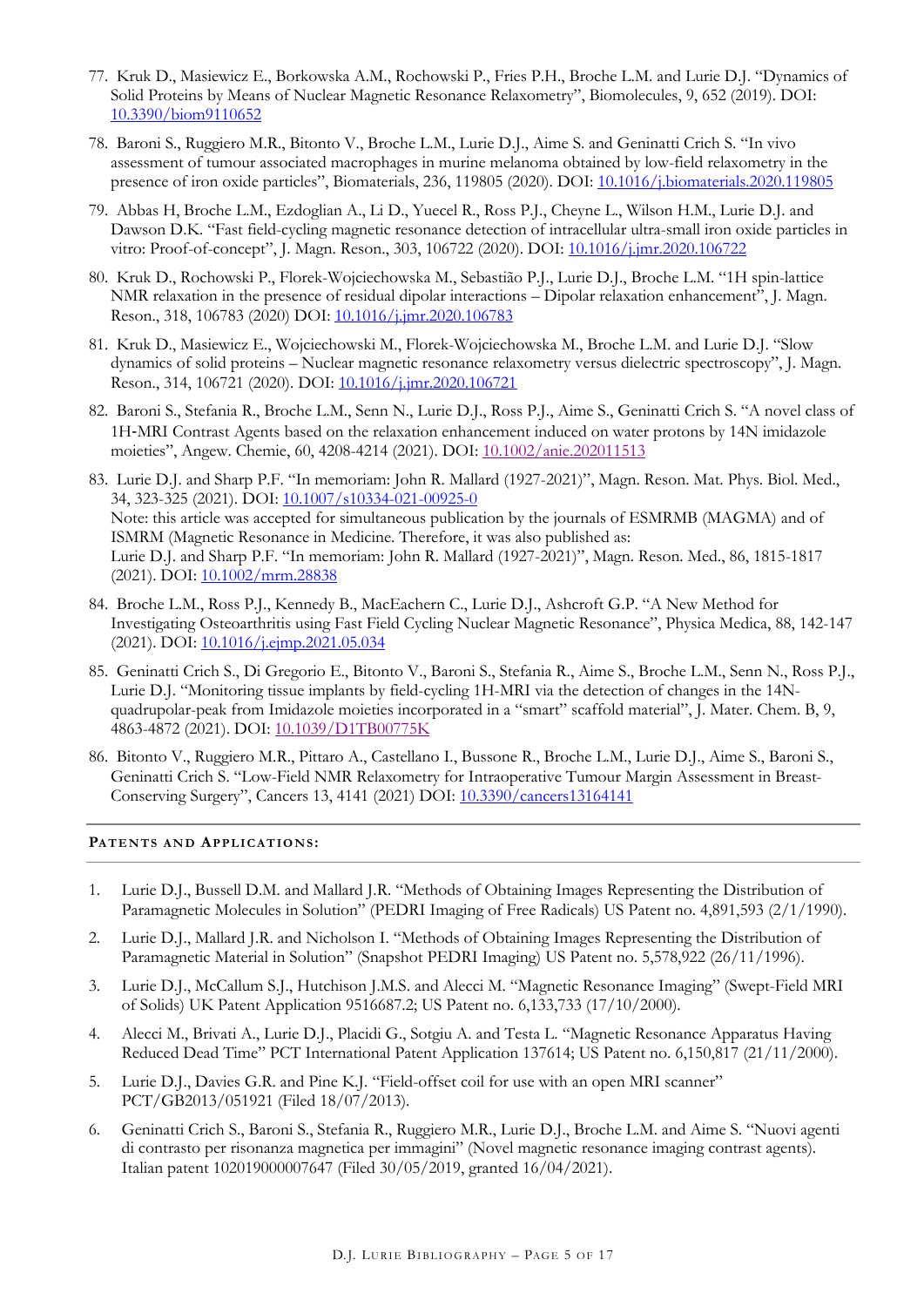- 77. Kruk D., Masiewicz E., Borkowska A.M., Rochowski P., Fries P.H., Broche L.M. and Lurie D.J. "Dynamics of Solid Proteins by Means of Nuclear Magnetic Resonance Relaxometry", Biomolecules, 9, 652 (2019). DOI: 10.3390/biom9110652
- 78. Baroni S., Ruggiero M.R., Bitonto V., Broche L.M., Lurie D.J., Aime S. and Geninatti Crich S. "In vivo assessment of tumour associated macrophages in murine melanoma obtained by low-field relaxometry in the presence of iron oxide particles", Biomaterials, 236, 119805 (2020). DOI: 10.1016/j.biomaterials.2020.119805
- 79. Abbas H, Broche L.M., Ezdoglian A., Li D., Yuecel R., Ross P.J., Cheyne L., Wilson H.M., Lurie D.J. and Dawson D.K. "Fast field-cycling magnetic resonance detection of intracellular ultra-small iron oxide particles in vitro: Proof-of-concept", J. Magn. Reson., 303, 106722 (2020). DOI: 10.1016/j.jmr.2020.106722
- 80. Kruk D., Rochowski P., Florek-Wojciechowska M., Sebastião P.J., Lurie D.J., Broche L.M. "1H spin-lattice NMR relaxation in the presence of residual dipolar interactions – Dipolar relaxation enhancement", J. Magn. Reson., 318, 106783 (2020) DOI: 10.1016/j.jmr.2020.106783
- 81. Kruk D., Masiewicz E., Wojciechowski M., Florek-Wojciechowska M., Broche L.M. and Lurie D.J. "Slow dynamics of solid proteins – Nuclear magnetic resonance relaxometry versus dielectric spectroscopy", J. Magn. Reson., 314, 106721 (2020). DOI: 10.1016/j.jmr.2020.106721
- 82. Baroni S., Stefania R., Broche L.M., Senn N., Lurie D.J., Ross P.J., Aime S., Geninatti Crich S. "A novel class of 1H-MRI Contrast Agents based on the relaxation enhancement induced on water protons by 14N imidazole moieties", Angew. Chemie, 60, 4208-4214 (2021). DOI: 10.1002/anie.202011513
- 83. Lurie D.J. and Sharp P.F. "In memoriam: John R. Mallard (1927-2021)", Magn. Reson. Mat. Phys. Biol. Med., 34, 323-325 (2021). DOI: 10.1007/s10334-021-00925-0 Note: this article was accepted for simultaneous publication by the journals of ESMRMB (MAGMA) and of ISMRM (Magnetic Resonance in Medicine. Therefore, it was also published as: Lurie D.J. and Sharp P.F. "In memoriam: John R. Mallard (1927-2021)", Magn. Reson. Med., 86, 1815-1817 (2021). DOI: 10.1002/mrm.28838
- 84. Broche L.M., Ross P.J., Kennedy B., MacEachern C., Lurie D.J., Ashcroft G.P. "A New Method for Investigating Osteoarthritis using Fast Field Cycling Nuclear Magnetic Resonance", Physica Medica, 88, 142-147 (2021). DOI: 10.1016/j.ejmp.2021.05.034
- 85. Geninatti Crich S., Di Gregorio E., Bitonto V., Baroni S., Stefania R., Aime S., Broche L.M., Senn N., Ross P.J., Lurie D.J. "Monitoring tissue implants by field-cycling 1H-MRI via the detection of changes in the 14Nquadrupolar-peak from Imidazole moieties incorporated in a "smart" scaffold material", J. Mater. Chem. B, 9, 4863-4872 (2021). DOI: 10.1039/D1TB00775K
- 86. Bitonto V., Ruggiero M.R., Pittaro A., Castellano I., Bussone R., Broche L.M., Lurie D.J., Aime S., Baroni S., Geninatti Crich S. "Low-Field NMR Relaxometry for Intraoperative Tumour Margin Assessment in Breast-Conserving Surgery", Cancers 13, 4141 (2021) DOI: 10.3390/cancers13164141

## **PATENTS AND APPLICATIONS :**

- 1. Lurie D.J., Bussell D.M. and Mallard J.R. "Methods of Obtaining Images Representing the Distribution of Paramagnetic Molecules in Solution" (PEDRI Imaging of Free Radicals) US Patent no. 4,891,593 (2/1/1990).
- 2. Lurie D.J., Mallard J.R. and Nicholson I. "Methods of Obtaining Images Representing the Distribution of Paramagnetic Material in Solution" (Snapshot PEDRI Imaging) US Patent no. 5,578,922 (26/11/1996).
- 3. Lurie D.J., McCallum S.J., Hutchison J.M.S. and Alecci M. "Magnetic Resonance Imaging" (Swept-Field MRI of Solids) UK Patent Application 9516687.2; US Patent no. 6,133,733 (17/10/2000).
- 4. Alecci M., Brivati A., Lurie D.J., Placidi G., Sotgiu A. and Testa L. "Magnetic Resonance Apparatus Having Reduced Dead Time" PCT International Patent Application 137614; US Patent no. 6,150,817 (21/11/2000).
- 5. Lurie D.J., Davies G.R. and Pine K.J. "Field-offset coil for use with an open MRI scanner" PCT/GB2013/051921 (Filed 18/07/2013).
- 6. Geninatti Crich S., Baroni S., Stefania R., Ruggiero M.R., Lurie D.J., Broche L.M. and Aime S. "Nuovi agenti di contrasto per risonanza magnetica per immagini" (Novel magnetic resonance imaging contrast agents). Italian patent 102019000007647 (Filed 30/05/2019, granted 16/04/2021).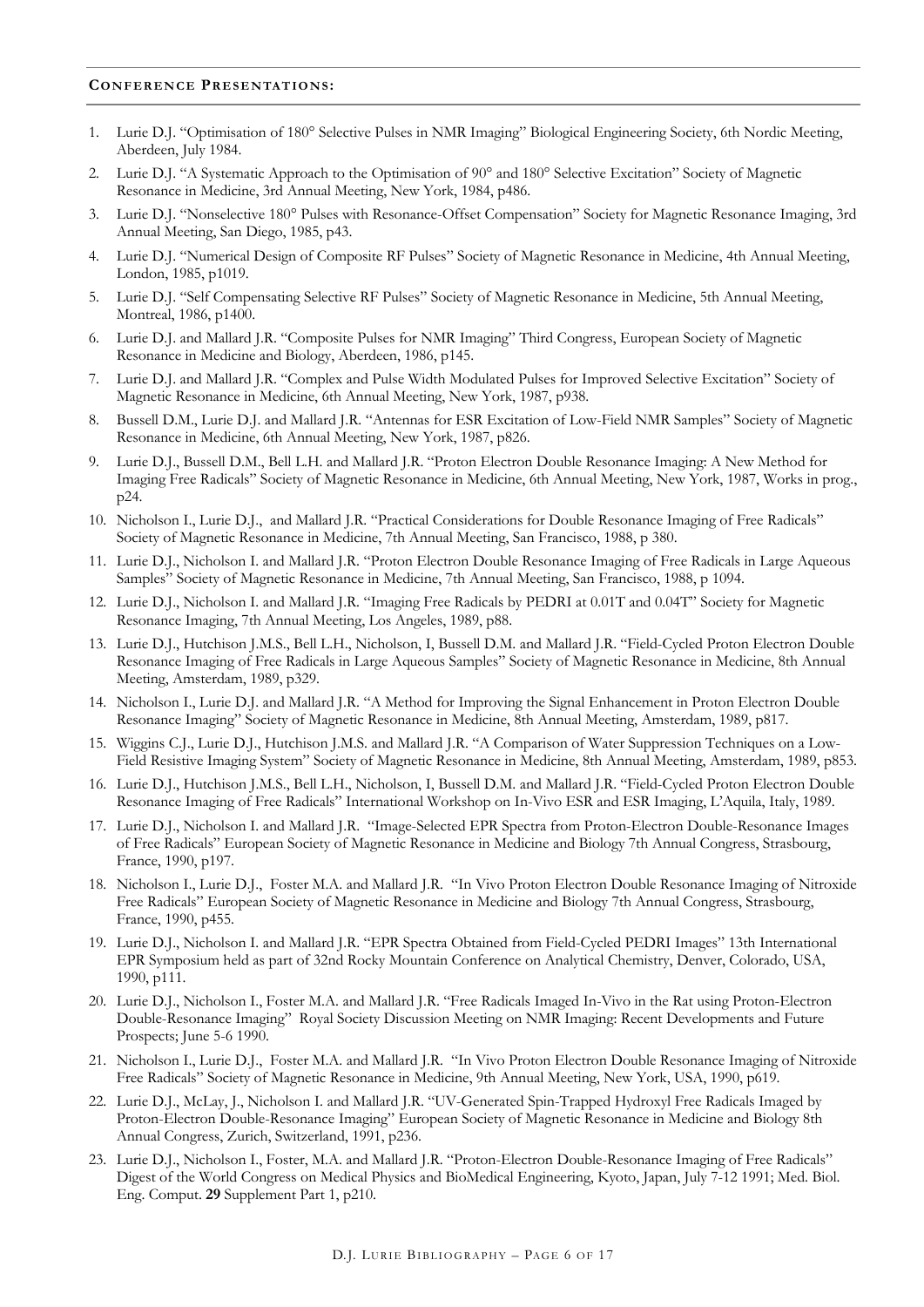#### **CONFERENCE PRESENTATIONS :**

- 1. Lurie D.J. "Optimisation of 180° Selective Pulses in NMR Imaging" Biological Engineering Society, 6th Nordic Meeting, Aberdeen, July 1984.
- 2. Lurie D.J. "A Systematic Approach to the Optimisation of 90° and 180° Selective Excitation" Society of Magnetic Resonance in Medicine, 3rd Annual Meeting, New York, 1984, p486.
- 3. Lurie D.J. "Nonselective 180° Pulses with Resonance-Offset Compensation" Society for Magnetic Resonance Imaging, 3rd Annual Meeting, San Diego, 1985, p43.
- 4. Lurie D.J. "Numerical Design of Composite RF Pulses" Society of Magnetic Resonance in Medicine, 4th Annual Meeting, London, 1985, p1019.
- 5. Lurie D.J. "Self Compensating Selective RF Pulses" Society of Magnetic Resonance in Medicine, 5th Annual Meeting, Montreal, 1986, p1400.
- 6. Lurie D.J. and Mallard J.R. "Composite Pulses for NMR Imaging" Third Congress, European Society of Magnetic Resonance in Medicine and Biology, Aberdeen, 1986, p145.
- 7. Lurie D.J. and Mallard J.R. "Complex and Pulse Width Modulated Pulses for Improved Selective Excitation" Society of Magnetic Resonance in Medicine, 6th Annual Meeting, New York, 1987, p938.
- 8. Bussell D.M., Lurie D.J. and Mallard J.R. "Antennas for ESR Excitation of Low-Field NMR Samples" Society of Magnetic Resonance in Medicine, 6th Annual Meeting, New York, 1987, p826.
- 9. Lurie D.J., Bussell D.M., Bell L.H. and Mallard J.R. "Proton Electron Double Resonance Imaging: A New Method for Imaging Free Radicals" Society of Magnetic Resonance in Medicine, 6th Annual Meeting, New York, 1987, Works in prog., p24.
- 10. Nicholson I., Lurie D.J., and Mallard J.R. "Practical Considerations for Double Resonance Imaging of Free Radicals" Society of Magnetic Resonance in Medicine, 7th Annual Meeting, San Francisco, 1988, p 380.
- 11. Lurie D.J., Nicholson I. and Mallard J.R. "Proton Electron Double Resonance Imaging of Free Radicals in Large Aqueous Samples" Society of Magnetic Resonance in Medicine, 7th Annual Meeting, San Francisco, 1988, p 1094.
- 12. Lurie D.J., Nicholson I. and Mallard J.R. "Imaging Free Radicals by PEDRI at 0.01T and 0.04T" Society for Magnetic Resonance Imaging, 7th Annual Meeting, Los Angeles, 1989, p88.
- 13. Lurie D.J., Hutchison J.M.S., Bell L.H., Nicholson, I, Bussell D.M. and Mallard J.R. "Field-Cycled Proton Electron Double Resonance Imaging of Free Radicals in Large Aqueous Samples" Society of Magnetic Resonance in Medicine, 8th Annual Meeting, Amsterdam, 1989, p329.
- 14. Nicholson I., Lurie D.J. and Mallard J.R. "A Method for Improving the Signal Enhancement in Proton Electron Double Resonance Imaging" Society of Magnetic Resonance in Medicine, 8th Annual Meeting, Amsterdam, 1989, p817.
- 15. Wiggins C.J., Lurie D.J., Hutchison J.M.S. and Mallard J.R. "A Comparison of Water Suppression Techniques on a Low-Field Resistive Imaging System" Society of Magnetic Resonance in Medicine, 8th Annual Meeting, Amsterdam, 1989, p853.
- 16. Lurie D.J., Hutchison J.M.S., Bell L.H., Nicholson, I, Bussell D.M. and Mallard J.R. "Field-Cycled Proton Electron Double Resonance Imaging of Free Radicals" International Workshop on In-Vivo ESR and ESR Imaging, L'Aquila, Italy, 1989.
- 17. Lurie D.J., Nicholson I. and Mallard J.R. "Image-Selected EPR Spectra from Proton-Electron Double-Resonance Images of Free Radicals" European Society of Magnetic Resonance in Medicine and Biology 7th Annual Congress, Strasbourg, France, 1990, p197.
- 18. Nicholson I., Lurie D.J., Foster M.A. and Mallard J.R. "In Vivo Proton Electron Double Resonance Imaging of Nitroxide Free Radicals" European Society of Magnetic Resonance in Medicine and Biology 7th Annual Congress, Strasbourg, France, 1990, p455.
- 19. Lurie D.J., Nicholson I. and Mallard J.R. "EPR Spectra Obtained from Field-Cycled PEDRI Images" 13th International EPR Symposium held as part of 32nd Rocky Mountain Conference on Analytical Chemistry, Denver, Colorado, USA, 1990, p111.
- 20. Lurie D.J., Nicholson I., Foster M.A. and Mallard J.R. "Free Radicals Imaged In-Vivo in the Rat using Proton-Electron Double-Resonance Imaging" Royal Society Discussion Meeting on NMR Imaging: Recent Developments and Future Prospects; June 5-6 1990.
- 21. Nicholson I., Lurie D.J., Foster M.A. and Mallard J.R. "In Vivo Proton Electron Double Resonance Imaging of Nitroxide Free Radicals" Society of Magnetic Resonance in Medicine, 9th Annual Meeting, New York, USA, 1990, p619.
- 22. Lurie D.J., McLay, J., Nicholson I. and Mallard J.R. "UV-Generated Spin-Trapped Hydroxyl Free Radicals Imaged by Proton-Electron Double-Resonance Imaging" European Society of Magnetic Resonance in Medicine and Biology 8th Annual Congress, Zurich, Switzerland, 1991, p236.
- 23. Lurie D.J., Nicholson I., Foster, M.A. and Mallard J.R. "Proton-Electron Double-Resonance Imaging of Free Radicals" Digest of the World Congress on Medical Physics and BioMedical Engineering, Kyoto, Japan, July 7-12 1991; Med. Biol. Eng. Comput. **29** Supplement Part 1, p210.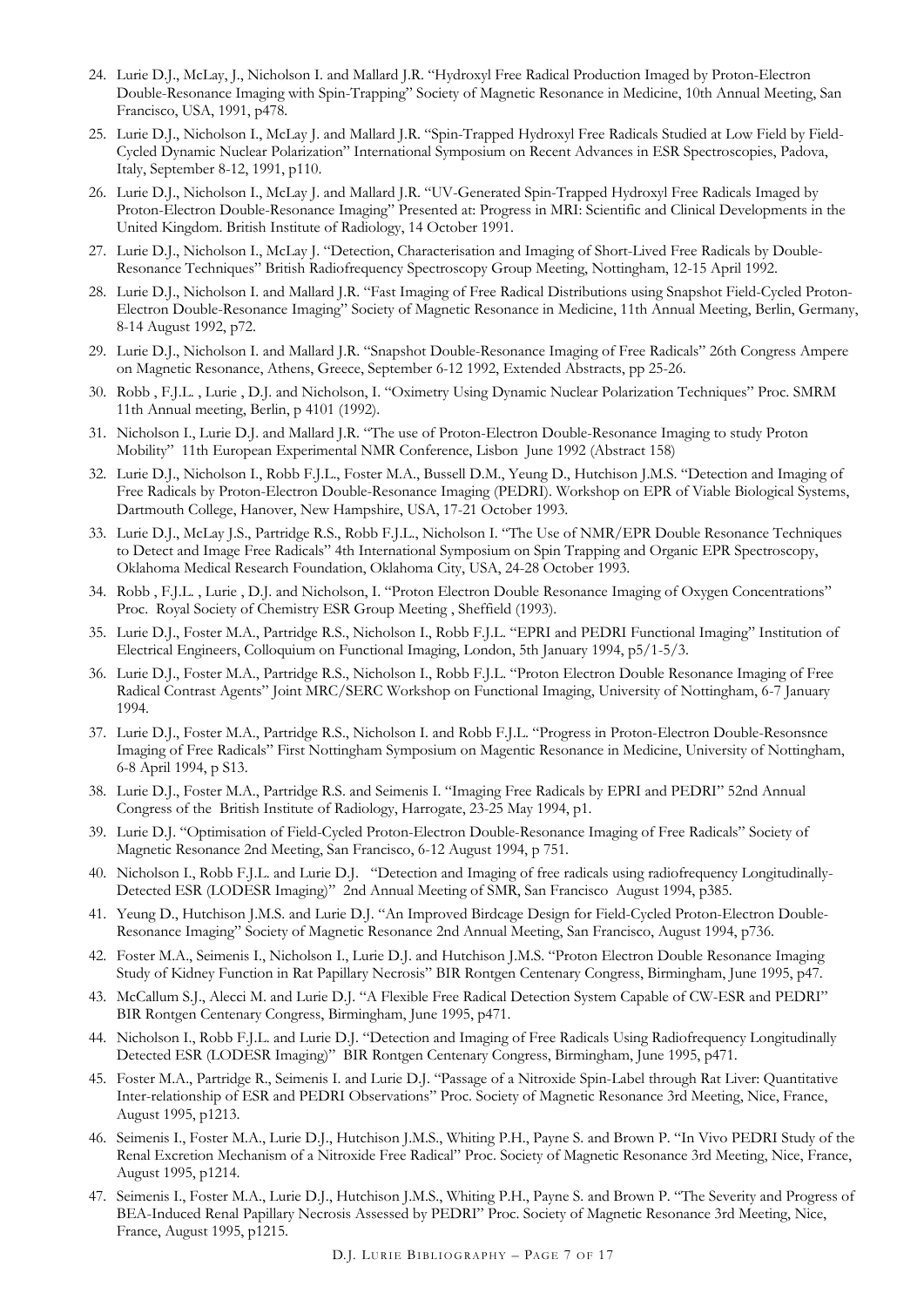- 24. Lurie D.J., McLay, J., Nicholson I. and Mallard J.R. "Hydroxyl Free Radical Production Imaged by Proton-Electron Double-Resonance Imaging with Spin-Trapping" Society of Magnetic Resonance in Medicine, 10th Annual Meeting, San Francisco, USA, 1991, p478.
- 25. Lurie D.J., Nicholson I., McLay J. and Mallard J.R. "Spin-Trapped Hydroxyl Free Radicals Studied at Low Field by Field-Cycled Dynamic Nuclear Polarization" International Symposium on Recent Advances in ESR Spectroscopies, Padova, Italy, September 8-12, 1991, p110.
- 26. Lurie D.J., Nicholson I., McLay J. and Mallard J.R. "UV-Generated Spin-Trapped Hydroxyl Free Radicals Imaged by Proton-Electron Double-Resonance Imaging" Presented at: Progress in MRI: Scientific and Clinical Developments in the United Kingdom. British Institute of Radiology, 14 October 1991.
- 27. Lurie D.J., Nicholson I., McLay J. "Detection, Characterisation and Imaging of Short-Lived Free Radicals by Double-Resonance Techniques" British Radiofrequency Spectroscopy Group Meeting, Nottingham, 12-15 April 1992.
- 28. Lurie D.J., Nicholson I. and Mallard J.R. "Fast Imaging of Free Radical Distributions using Snapshot Field-Cycled Proton-Electron Double-Resonance Imaging" Society of Magnetic Resonance in Medicine, 11th Annual Meeting, Berlin, Germany, 8-14 August 1992, p72.
- 29. Lurie D.J., Nicholson I. and Mallard J.R. "Snapshot Double-Resonance Imaging of Free Radicals" 26th Congress Ampere on Magnetic Resonance, Athens, Greece, September 6-12 1992, Extended Abstracts, pp 25-26.
- 30. Robb , F.J.L. , Lurie , D.J. and Nicholson, I. "Oximetry Using Dynamic Nuclear Polarization Techniques" Proc. SMRM 11th Annual meeting, Berlin, p 4101 (1992).
- 31. Nicholson I., Lurie D.J. and Mallard J.R. "The use of Proton-Electron Double-Resonance Imaging to study Proton Mobility" 11th European Experimental NMR Conference, Lisbon June 1992 (Abstract 158)
- 32. Lurie D.J., Nicholson I., Robb F.J.L., Foster M.A., Bussell D.M., Yeung D., Hutchison J.M.S. "Detection and Imaging of Free Radicals by Proton-Electron Double-Resonance Imaging (PEDRI). Workshop on EPR of Viable Biological Systems, Dartmouth College, Hanover, New Hampshire, USA, 17-21 October 1993.
- 33. Lurie D.J., McLay J.S., Partridge R.S., Robb F.J.L., Nicholson I. "The Use of NMR/EPR Double Resonance Techniques to Detect and Image Free Radicals" 4th International Symposium on Spin Trapping and Organic EPR Spectroscopy, Oklahoma Medical Research Foundation, Oklahoma City, USA, 24-28 October 1993.
- 34. Robb , F.J.L. , Lurie , D.J. and Nicholson, I. "Proton Electron Double Resonance Imaging of Oxygen Concentrations" Proc. Royal Society of Chemistry ESR Group Meeting , Sheffield (1993).
- 35. Lurie D.J., Foster M.A., Partridge R.S., Nicholson I., Robb F.J.L. "EPRI and PEDRI Functional Imaging" Institution of Electrical Engineers, Colloquium on Functional Imaging, London, 5th January 1994, p5/1-5/3.
- 36. Lurie D.J., Foster M.A., Partridge R.S., Nicholson I., Robb F.J.L. "Proton Electron Double Resonance Imaging of Free Radical Contrast Agents" Joint MRC/SERC Workshop on Functional Imaging, University of Nottingham, 6-7 January 1994.
- 37. Lurie D.J., Foster M.A., Partridge R.S., Nicholson I. and Robb F.J.L. "Progress in Proton-Electron Double-Resonsnce Imaging of Free Radicals" First Nottingham Symposium on Magentic Resonance in Medicine, University of Nottingham, 6-8 April 1994, p S13.
- 38. Lurie D.J., Foster M.A., Partridge R.S. and Seimenis I. "Imaging Free Radicals by EPRI and PEDRI" 52nd Annual Congress of the British Institute of Radiology, Harrogate, 23-25 May 1994, p1.
- 39. Lurie D.J. "Optimisation of Field-Cycled Proton-Electron Double-Resonance Imaging of Free Radicals" Society of Magnetic Resonance 2nd Meeting, San Francisco, 6-12 August 1994, p 751.
- 40. Nicholson I., Robb F.J.L. and Lurie D.J. "Detection and Imaging of free radicals using radiofrequency Longitudinally-Detected ESR (LODESR Imaging)" 2nd Annual Meeting of SMR, San Francisco August 1994, p385.
- 41. Yeung D., Hutchison J.M.S. and Lurie D.J. "An Improved Birdcage Design for Field-Cycled Proton-Electron Double-Resonance Imaging" Society of Magnetic Resonance 2nd Annual Meeting, San Francisco, August 1994, p736.
- 42. Foster M.A., Seimenis I., Nicholson I., Lurie D.J. and Hutchison J.M.S. "Proton Electron Double Resonance Imaging Study of Kidney Function in Rat Papillary Necrosis" BIR Rontgen Centenary Congress, Birmingham, June 1995, p47.
- 43. McCallum S.J., Alecci M. and Lurie D.J. "A Flexible Free Radical Detection System Capable of CW-ESR and PEDRI" BIR Rontgen Centenary Congress, Birmingham, June 1995, p471.
- 44. Nicholson I., Robb F.J.L. and Lurie D.J. "Detection and Imaging of Free Radicals Using Radiofrequency Longitudinally Detected ESR (LODESR Imaging)" BIR Rontgen Centenary Congress, Birmingham, June 1995, p471.
- 45. Foster M.A., Partridge R., Seimenis I. and Lurie D.J. "Passage of a Nitroxide Spin-Label through Rat Liver: Quantitative Inter-relationship of ESR and PEDRI Observations" Proc. Society of Magnetic Resonance 3rd Meeting, Nice, France, August 1995, p1213.
- 46. Seimenis I., Foster M.A., Lurie D.J., Hutchison J.M.S., Whiting P.H., Payne S. and Brown P. "In Vivo PEDRI Study of the Renal Excretion Mechanism of a Nitroxide Free Radical" Proc. Society of Magnetic Resonance 3rd Meeting, Nice, France, August 1995, p1214.
- 47. Seimenis I., Foster M.A., Lurie D.J., Hutchison J.M.S., Whiting P.H., Payne S. and Brown P. "The Severity and Progress of BEA-Induced Renal Papillary Necrosis Assessed by PEDRI" Proc. Society of Magnetic Resonance 3rd Meeting, Nice, France, August 1995, p1215.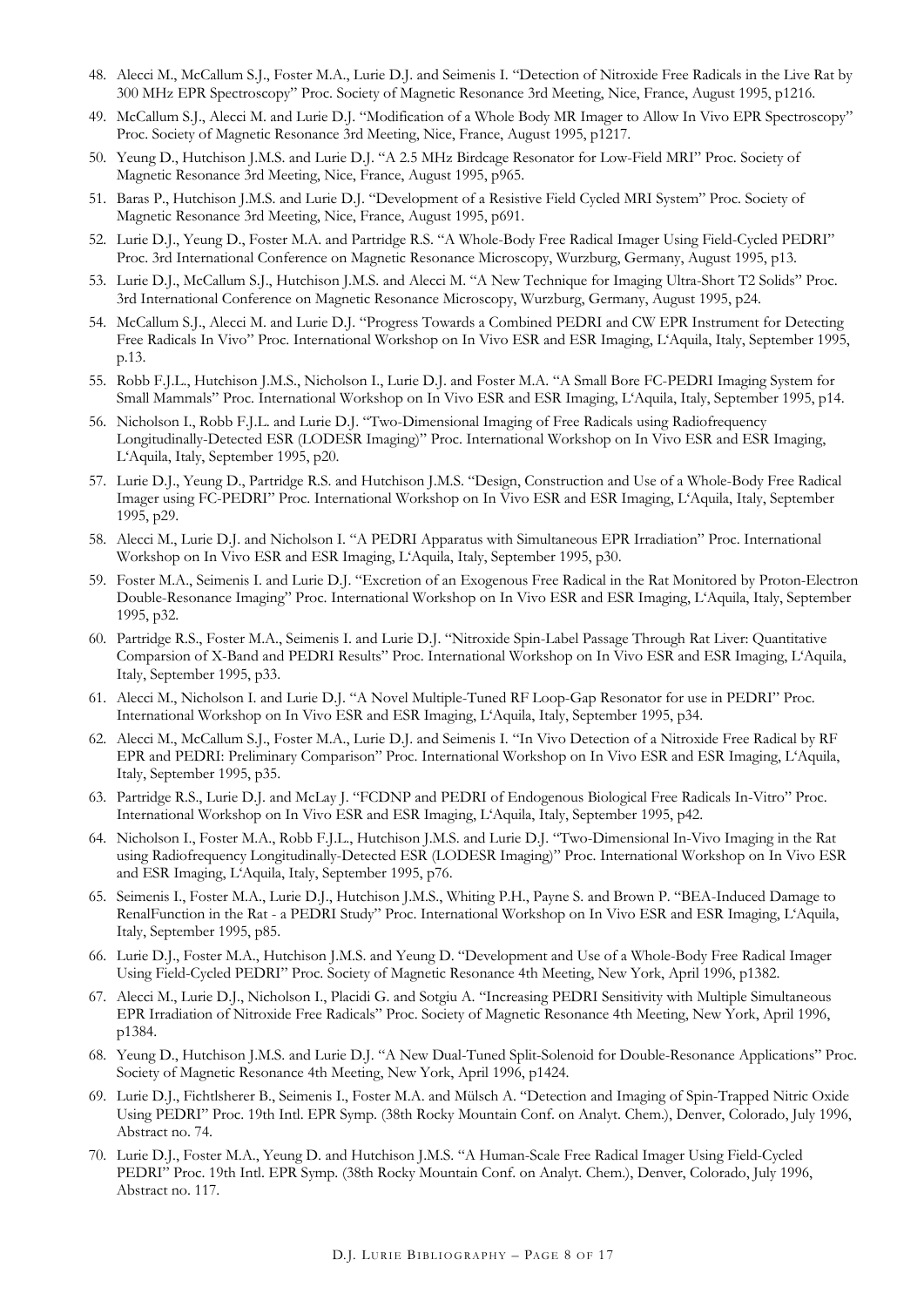- 48. Alecci M., McCallum S.J., Foster M.A., Lurie D.J. and Seimenis I. "Detection of Nitroxide Free Radicals in the Live Rat by 300 MHz EPR Spectroscopy" Proc. Society of Magnetic Resonance 3rd Meeting, Nice, France, August 1995, p1216.
- 49. McCallum S.J., Alecci M. and Lurie D.J. "Modification of a Whole Body MR Imager to Allow In Vivo EPR Spectroscopy" Proc. Society of Magnetic Resonance 3rd Meeting, Nice, France, August 1995, p1217.
- 50. Yeung D., Hutchison J.M.S. and Lurie D.J. "A 2.5 MHz Birdcage Resonator for Low-Field MRI" Proc. Society of Magnetic Resonance 3rd Meeting, Nice, France, August 1995, p965.
- 51. Baras P., Hutchison J.M.S. and Lurie D.J. "Development of a Resistive Field Cycled MRI System" Proc. Society of Magnetic Resonance 3rd Meeting, Nice, France, August 1995, p691.
- 52. Lurie D.J., Yeung D., Foster M.A. and Partridge R.S. "A Whole-Body Free Radical Imager Using Field-Cycled PEDRI" Proc. 3rd International Conference on Magnetic Resonance Microscopy, Wurzburg, Germany, August 1995, p13.
- 53. Lurie D.J., McCallum S.J., Hutchison J.M.S. and Alecci M. "A New Technique for Imaging Ultra-Short T2 Solids" Proc. 3rd International Conference on Magnetic Resonance Microscopy, Wurzburg, Germany, August 1995, p24.
- 54. McCallum S.J., Alecci M. and Lurie D.J. "Progress Towards a Combined PEDRI and CW EPR Instrument for Detecting Free Radicals In Vivo" Proc. International Workshop on In Vivo ESR and ESR Imaging, L'Aquila, Italy, September 1995, p.13.
- 55. Robb F.J.L., Hutchison J.M.S., Nicholson I., Lurie D.J. and Foster M.A. "A Small Bore FC-PEDRI Imaging System for Small Mammals" Proc. International Workshop on In Vivo ESR and ESR Imaging, L'Aquila, Italy, September 1995, p14.
- 56. Nicholson I., Robb F.J.L. and Lurie D.J. "Two-Dimensional Imaging of Free Radicals using Radiofrequency Longitudinally-Detected ESR (LODESR Imaging)" Proc. International Workshop on In Vivo ESR and ESR Imaging, L'Aquila, Italy, September 1995, p20.
- 57. Lurie D.J., Yeung D., Partridge R.S. and Hutchison J.M.S. "Design, Construction and Use of a Whole-Body Free Radical Imager using FC-PEDRI" Proc. International Workshop on In Vivo ESR and ESR Imaging, L'Aquila, Italy, September 1995, p29.
- 58. Alecci M., Lurie D.J. and Nicholson I. "A PEDRI Apparatus with Simultaneous EPR Irradiation" Proc. International Workshop on In Vivo ESR and ESR Imaging, L'Aquila, Italy, September 1995, p30.
- 59. Foster M.A., Seimenis I. and Lurie D.J. "Excretion of an Exogenous Free Radical in the Rat Monitored by Proton-Electron Double-Resonance Imaging" Proc. International Workshop on In Vivo ESR and ESR Imaging, L'Aquila, Italy, September 1995, p32.
- 60. Partridge R.S., Foster M.A., Seimenis I. and Lurie D.J. "Nitroxide Spin-Label Passage Through Rat Liver: Quantitative Comparsion of X-Band and PEDRI Results" Proc. International Workshop on In Vivo ESR and ESR Imaging, L'Aquila, Italy, September 1995, p33.
- 61. Alecci M., Nicholson I. and Lurie D.J. "A Novel Multiple-Tuned RF Loop-Gap Resonator for use in PEDRI" Proc. International Workshop on In Vivo ESR and ESR Imaging, L'Aquila, Italy, September 1995, p34.
- 62. Alecci M., McCallum S.J., Foster M.A., Lurie D.J. and Seimenis I. "In Vivo Detection of a Nitroxide Free Radical by RF EPR and PEDRI: Preliminary Comparison" Proc. International Workshop on In Vivo ESR and ESR Imaging, L'Aquila, Italy, September 1995, p35.
- 63. Partridge R.S., Lurie D.J. and McLay J. "FCDNP and PEDRI of Endogenous Biological Free Radicals In-Vitro" Proc. International Workshop on In Vivo ESR and ESR Imaging, L'Aquila, Italy, September 1995, p42.
- 64. Nicholson I., Foster M.A., Robb F.J.L., Hutchison J.M.S. and Lurie D.J. "Two-Dimensional In-Vivo Imaging in the Rat using Radiofrequency Longitudinally-Detected ESR (LODESR Imaging)" Proc. International Workshop on In Vivo ESR and ESR Imaging, L'Aquila, Italy, September 1995, p76.
- 65. Seimenis I., Foster M.A., Lurie D.J., Hutchison J.M.S., Whiting P.H., Payne S. and Brown P. "BEA-Induced Damage to RenalFunction in the Rat - a PEDRI Study" Proc. International Workshop on In Vivo ESR and ESR Imaging, L'Aquila, Italy, September 1995, p85.
- 66. Lurie D.J., Foster M.A., Hutchison J.M.S. and Yeung D. "Development and Use of a Whole-Body Free Radical Imager Using Field-Cycled PEDRI" Proc. Society of Magnetic Resonance 4th Meeting, New York, April 1996, p1382.
- 67. Alecci M., Lurie D.J., Nicholson I., Placidi G. and Sotgiu A. "Increasing PEDRI Sensitivity with Multiple Simultaneous EPR Irradiation of Nitroxide Free Radicals" Proc. Society of Magnetic Resonance 4th Meeting, New York, April 1996, p1384.
- 68. Yeung D., Hutchison J.M.S. and Lurie D.J. "A New Dual-Tuned Split-Solenoid for Double-Resonance Applications" Proc. Society of Magnetic Resonance 4th Meeting, New York, April 1996, p1424.
- 69. Lurie D.J., Fichtlsherer B., Seimenis I., Foster M.A. and Mülsch A. "Detection and Imaging of Spin-Trapped Nitric Oxide Using PEDRI" Proc. 19th Intl. EPR Symp. (38th Rocky Mountain Conf. on Analyt. Chem.), Denver, Colorado, July 1996, Abstract no. 74.
- 70. Lurie D.J., Foster M.A., Yeung D. and Hutchison J.M.S. "A Human-Scale Free Radical Imager Using Field-Cycled PEDRI" Proc. 19th Intl. EPR Symp. (38th Rocky Mountain Conf. on Analyt. Chem.), Denver, Colorado, July 1996, Abstract no. 117.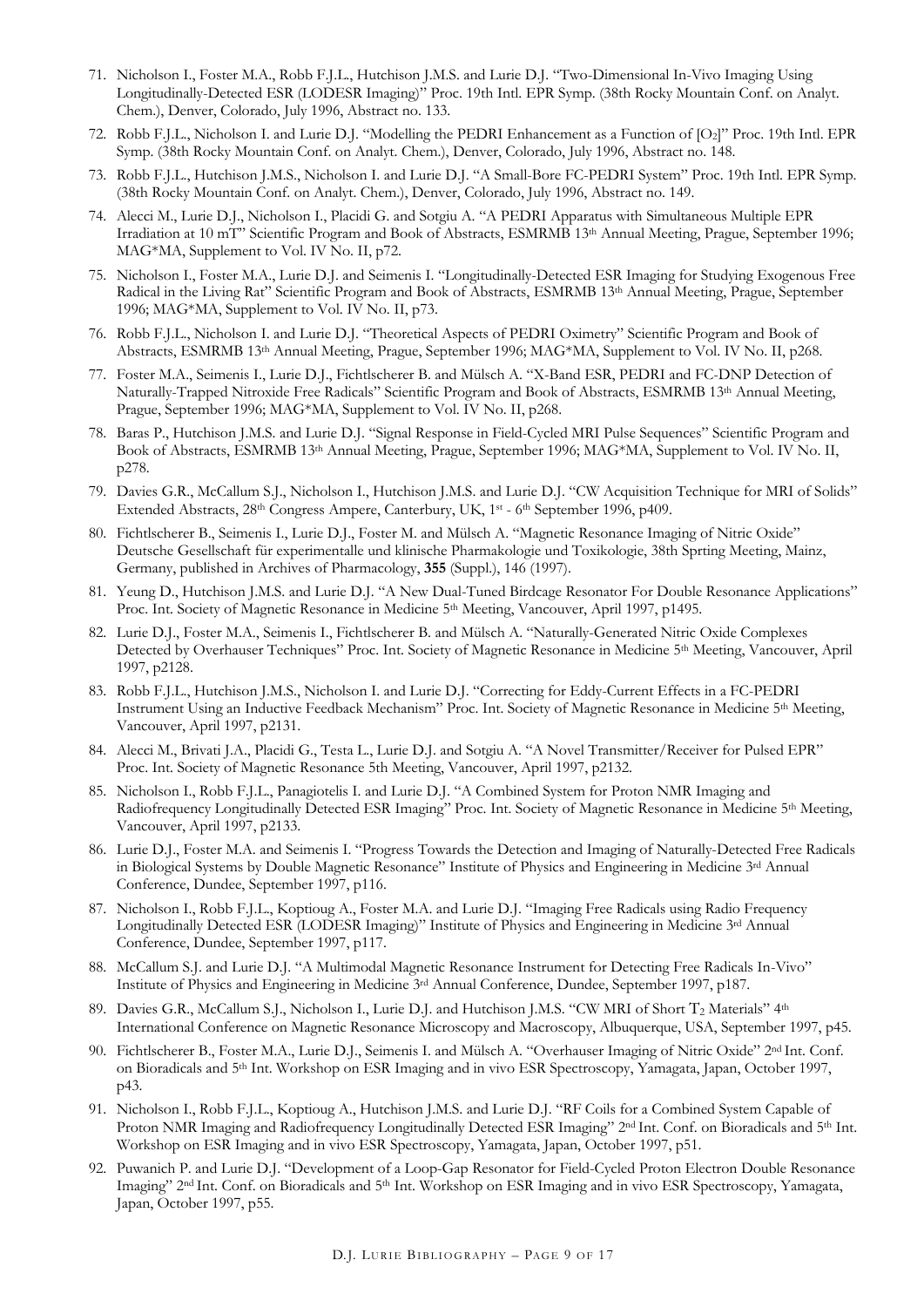- 71. Nicholson I., Foster M.A., Robb F.J.L., Hutchison J.M.S. and Lurie D.J. "Two-Dimensional In-Vivo Imaging Using Longitudinally-Detected ESR (LODESR Imaging)" Proc. 19th Intl. EPR Symp. (38th Rocky Mountain Conf. on Analyt. Chem.), Denver, Colorado, July 1996, Abstract no. 133.
- 72. Robb F.J.L., Nicholson I. and Lurie D.J. "Modelling the PEDRI Enhancement as a Function of [O2]" Proc. 19th Intl. EPR Symp. (38th Rocky Mountain Conf. on Analyt. Chem.), Denver, Colorado, July 1996, Abstract no. 148.
- 73. Robb F.J.L., Hutchison J.M.S., Nicholson I. and Lurie D.J. "A Small-Bore FC-PEDRI System" Proc. 19th Intl. EPR Symp. (38th Rocky Mountain Conf. on Analyt. Chem.), Denver, Colorado, July 1996, Abstract no. 149.
- 74. Alecci M., Lurie D.J., Nicholson I., Placidi G. and Sotgiu A. "A PEDRI Apparatus with Simultaneous Multiple EPR Irradiation at 10 mT" Scientific Program and Book of Abstracts, ESMRMB 13th Annual Meeting, Prague, September 1996; MAG\*MA, Supplement to Vol. IV No. II, p72.
- 75. Nicholson I., Foster M.A., Lurie D.J. and Seimenis I. "Longitudinally-Detected ESR Imaging for Studying Exogenous Free Radical in the Living Rat" Scientific Program and Book of Abstracts, ESMRMB 13th Annual Meeting, Prague, September 1996; MAG\*MA, Supplement to Vol. IV No. II, p73.
- 76. Robb F.J.L., Nicholson I. and Lurie D.J. "Theoretical Aspects of PEDRI Oximetry" Scientific Program and Book of Abstracts, ESMRMB 13th Annual Meeting, Prague, September 1996; MAG\*MA, Supplement to Vol. IV No. II, p268.
- 77. Foster M.A., Seimenis I., Lurie D.J., Fichtlscherer B. and Mülsch A. "X-Band ESR, PEDRI and FC-DNP Detection of Naturally-Trapped Nitroxide Free Radicals" Scientific Program and Book of Abstracts, ESMRMB 13th Annual Meeting, Prague, September 1996; MAG\*MA, Supplement to Vol. IV No. II, p268.
- 78. Baras P., Hutchison J.M.S. and Lurie D.J. "Signal Response in Field-Cycled MRI Pulse Sequences" Scientific Program and Book of Abstracts, ESMRMB 13th Annual Meeting, Prague, September 1996; MAG\*MA, Supplement to Vol. IV No. II, p278.
- 79. Davies G.R., McCallum S.J., Nicholson I., Hutchison J.M.S. and Lurie D.J. "CW Acquisition Technique for MRI of Solids" Extended Abstracts, 28<sup>th</sup> Congress Ampere, Canterbury, UK, 1<sup>st</sup> - 6<sup>th</sup> September 1996, p409.
- 80. Fichtlscherer B., Seimenis I., Lurie D.J., Foster M. and Mülsch A. "Magnetic Resonance Imaging of Nitric Oxide" Deutsche Gesellschaft für experimentalle und klinische Pharmakologie und Toxikologie, 38th Sprting Meeting, Mainz, Germany, published in Archives of Pharmacology, **355** (Suppl.), 146 (1997).
- 81. Yeung D., Hutchison J.M.S. and Lurie D.J. "A New Dual-Tuned Birdcage Resonator For Double Resonance Applications" Proc. Int. Society of Magnetic Resonance in Medicine 5<sup>th</sup> Meeting, Vancouver, April 1997, p1495.
- 82. Lurie D.J., Foster M.A., Seimenis I., Fichtlscherer B. and Mülsch A. "Naturally-Generated Nitric Oxide Complexes Detected by Overhauser Techniques" Proc. Int. Society of Magnetic Resonance in Medicine 5th Meeting, Vancouver, April 1997, p2128.
- 83. Robb F.J.L., Hutchison J.M.S., Nicholson I. and Lurie D.J. "Correcting for Eddy-Current Effects in a FC-PEDRI Instrument Using an Inductive Feedback Mechanism" Proc. Int. Society of Magnetic Resonance in Medicine 5th Meeting, Vancouver, April 1997, p2131.
- 84. Alecci M., Brivati J.A., Placidi G., Testa L., Lurie D.J. and Sotgiu A. "A Novel Transmitter/Receiver for Pulsed EPR" Proc. Int. Society of Magnetic Resonance 5th Meeting, Vancouver, April 1997, p2132.
- 85. Nicholson I., Robb F.J.L., Panagiotelis I. and Lurie D.J. "A Combined System for Proton NMR Imaging and Radiofrequency Longitudinally Detected ESR Imaging" Proc. Int. Society of Magnetic Resonance in Medicine 5th Meeting, Vancouver, April 1997, p2133.
- 86. Lurie D.J., Foster M.A. and Seimenis I. "Progress Towards the Detection and Imaging of Naturally-Detected Free Radicals in Biological Systems by Double Magnetic Resonance" Institute of Physics and Engineering in Medicine 3rd Annual Conference, Dundee, September 1997, p116.
- 87. Nicholson I., Robb F.J.L., Koptioug A., Foster M.A. and Lurie D.J. "Imaging Free Radicals using Radio Frequency Longitudinally Detected ESR (LODESR Imaging)" Institute of Physics and Engineering in Medicine 3rd Annual Conference, Dundee, September 1997, p117.
- 88. McCallum S.J. and Lurie D.J. "A Multimodal Magnetic Resonance Instrument for Detecting Free Radicals In-Vivo" Institute of Physics and Engineering in Medicine 3rd Annual Conference, Dundee, September 1997, p187.
- 89. Davies G.R., McCallum S.J., Nicholson I., Lurie D.J. and Hutchison J.M.S. "CW MRI of Short T<sub>2</sub> Materials" 4th International Conference on Magnetic Resonance Microscopy and Macroscopy, Albuquerque, USA, September 1997, p45.
- 90. Fichtlscherer B., Foster M.A., Lurie D.J., Seimenis I. and Mülsch A. "Overhauser Imaging of Nitric Oxide" 2nd Int. Conf. on Bioradicals and 5th Int. Workshop on ESR Imaging and in vivo ESR Spectroscopy, Yamagata, Japan, October 1997, p43.
- 91. Nicholson I., Robb F.J.L., Koptioug A., Hutchison J.M.S. and Lurie D.J. "RF Coils for a Combined System Capable of Proton NMR Imaging and Radiofrequency Longitudinally Detected ESR Imaging" 2nd Int. Conf. on Bioradicals and 5th Int. Workshop on ESR Imaging and in vivo ESR Spectroscopy, Yamagata, Japan, October 1997, p51.
- 92. Puwanich P. and Lurie D.J. "Development of a Loop-Gap Resonator for Field-Cycled Proton Electron Double Resonance Imaging" 2nd Int. Conf. on Bioradicals and 5th Int. Workshop on ESR Imaging and in vivo ESR Spectroscopy, Yamagata, Japan, October 1997, p55.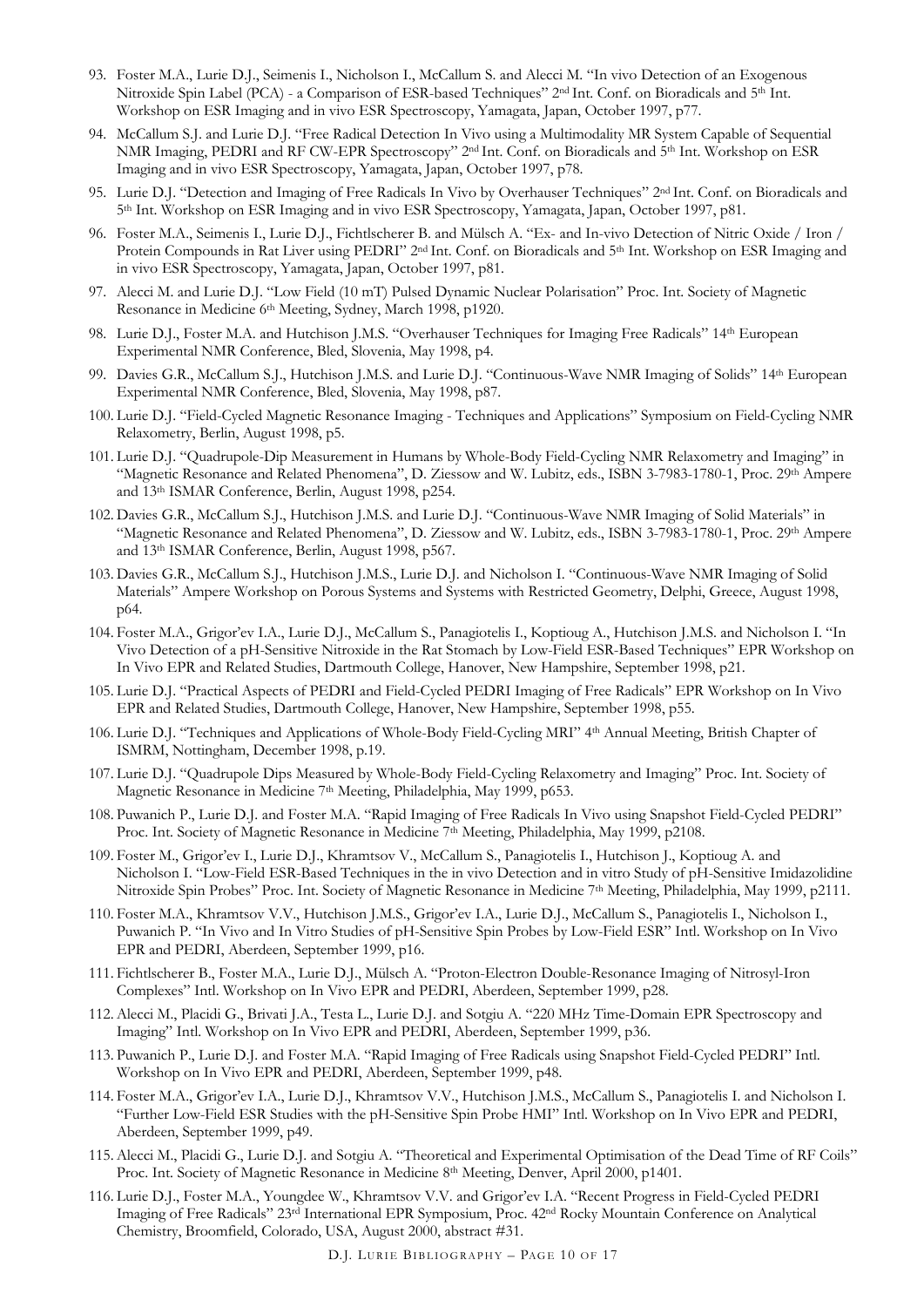- 93. Foster M.A., Lurie D.J., Seimenis I., Nicholson I., McCallum S. and Alecci M. "In vivo Detection of an Exogenous Nitroxide Spin Label (PCA) - a Comparison of ESR-based Techniques" 2nd Int. Conf. on Bioradicals and 5th Int. Workshop on ESR Imaging and in vivo ESR Spectroscopy, Yamagata, Japan, October 1997, p77.
- 94. McCallum S.J. and Lurie D.J. "Free Radical Detection In Vivo using a Multimodality MR System Capable of Sequential NMR Imaging, PEDRI and RF CW-EPR Spectroscopy" 2<sup>nd</sup> Int. Conf. on Bioradicals and 5<sup>th</sup> Int. Workshop on ESR Imaging and in vivo ESR Spectroscopy, Yamagata, Japan, October 1997, p78.
- 95. Lurie D.J. "Detection and Imaging of Free Radicals In Vivo by Overhauser Techniques" 2nd Int. Conf. on Bioradicals and 5th Int. Workshop on ESR Imaging and in vivo ESR Spectroscopy, Yamagata, Japan, October 1997, p81.
- 96. Foster M.A., Seimenis I., Lurie D.J., Fichtlscherer B. and Mülsch A. "Ex- and In-vivo Detection of Nitric Oxide / Iron / Protein Compounds in Rat Liver using PEDRI" 2<sup>nd</sup> Int. Conf. on Bioradicals and 5<sup>th</sup> Int. Workshop on ESR Imaging and in vivo ESR Spectroscopy, Yamagata, Japan, October 1997, p81.
- 97. Alecci M. and Lurie D.J. "Low Field (10 mT) Pulsed Dynamic Nuclear Polarisation" Proc. Int. Society of Magnetic Resonance in Medicine 6th Meeting, Sydney, March 1998, p1920.
- 98. Lurie D.J., Foster M.A. and Hutchison J.M.S. "Overhauser Techniques for Imaging Free Radicals" 14th European Experimental NMR Conference, Bled, Slovenia, May 1998, p4.
- 99. Davies G.R., McCallum S.J., Hutchison J.M.S. and Lurie D.J. "Continuous-Wave NMR Imaging of Solids" 14th European Experimental NMR Conference, Bled, Slovenia, May 1998, p87.
- 100. Lurie D.J. "Field-Cycled Magnetic Resonance Imaging Techniques and Applications" Symposium on Field-Cycling NMR Relaxometry, Berlin, August 1998, p5.
- 101. Lurie D.J. "Quadrupole-Dip Measurement in Humans by Whole-Body Field-Cycling NMR Relaxometry and Imaging" in "Magnetic Resonance and Related Phenomena", D. Ziessow and W. Lubitz, eds., ISBN 3-7983-1780-1, Proc. 29th Ampere and 13th ISMAR Conference, Berlin, August 1998, p254.
- 102. Davies G.R., McCallum S.J., Hutchison J.M.S. and Lurie D.J. "Continuous-Wave NMR Imaging of Solid Materials" in "Magnetic Resonance and Related Phenomena", D. Ziessow and W. Lubitz, eds., ISBN 3-7983-1780-1, Proc. 29th Ampere and 13th ISMAR Conference, Berlin, August 1998, p567.
- 103. Davies G.R., McCallum S.J., Hutchison J.M.S., Lurie D.J. and Nicholson I. "Continuous-Wave NMR Imaging of Solid Materials" Ampere Workshop on Porous Systems and Systems with Restricted Geometry, Delphi, Greece, August 1998, p64.
- 104. Foster M.A., Grigor'ev I.A., Lurie D.J., McCallum S., Panagiotelis I., Koptioug A., Hutchison J.M.S. and Nicholson I. "In Vivo Detection of a pH-Sensitive Nitroxide in the Rat Stomach by Low-Field ESR-Based Techniques" EPR Workshop on In Vivo EPR and Related Studies, Dartmouth College, Hanover, New Hampshire, September 1998, p21.
- 105. Lurie D.J. "Practical Aspects of PEDRI and Field-Cycled PEDRI Imaging of Free Radicals" EPR Workshop on In Vivo EPR and Related Studies, Dartmouth College, Hanover, New Hampshire, September 1998, p55.
- 106. Lurie D.J. "Techniques and Applications of Whole-Body Field-Cycling MRI" 4th Annual Meeting, British Chapter of ISMRM, Nottingham, December 1998, p.19.
- 107. Lurie D.J. "Quadrupole Dips Measured by Whole-Body Field-Cycling Relaxometry and Imaging" Proc. Int. Society of Magnetic Resonance in Medicine 7<sup>th</sup> Meeting, Philadelphia, May 1999, p653.
- 108. Puwanich P., Lurie D.J. and Foster M.A. "Rapid Imaging of Free Radicals In Vivo using Snapshot Field-Cycled PEDRI" Proc. Int. Society of Magnetic Resonance in Medicine 7th Meeting, Philadelphia, May 1999, p2108.
- 109. Foster M., Grigor'ev I., Lurie D.J., Khramtsov V., McCallum S., Panagiotelis I., Hutchison J., Koptioug A. and Nicholson I. "Low-Field ESR-Based Techniques in the in vivo Detection and in vitro Study of pH-Sensitive Imidazolidine Nitroxide Spin Probes" Proc. Int. Society of Magnetic Resonance in Medicine 7th Meeting, Philadelphia, May 1999, p2111.
- 110. Foster M.A., Khramtsov V.V., Hutchison J.M.S., Grigor'ev I.A., Lurie D.J., McCallum S., Panagiotelis I., Nicholson I., Puwanich P. "In Vivo and In Vitro Studies of pH-Sensitive Spin Probes by Low-Field ESR" Intl. Workshop on In Vivo EPR and PEDRI, Aberdeen, September 1999, p16.
- 111. Fichtlscherer B., Foster M.A., Lurie D.J., Mülsch A. "Proton-Electron Double-Resonance Imaging of Nitrosyl-Iron Complexes" Intl. Workshop on In Vivo EPR and PEDRI, Aberdeen, September 1999, p28.
- 112. Alecci M., Placidi G., Brivati J.A., Testa L., Lurie D.J. and Sotgiu A. "220 MHz Time-Domain EPR Spectroscopy and Imaging" Intl. Workshop on In Vivo EPR and PEDRI, Aberdeen, September 1999, p36.
- 113. Puwanich P., Lurie D.J. and Foster M.A. "Rapid Imaging of Free Radicals using Snapshot Field-Cycled PEDRI" Intl. Workshop on In Vivo EPR and PEDRI, Aberdeen, September 1999, p48.
- 114. Foster M.A., Grigor'ev I.A., Lurie D.J., Khramtsov V.V., Hutchison J.M.S., McCallum S., Panagiotelis I. and Nicholson I. "Further Low-Field ESR Studies with the pH-Sensitive Spin Probe HMI" Intl. Workshop on In Vivo EPR and PEDRI, Aberdeen, September 1999, p49.
- 115. Alecci M., Placidi G., Lurie D.J. and Sotgiu A. "Theoretical and Experimental Optimisation of the Dead Time of RF Coils" Proc. Int. Society of Magnetic Resonance in Medicine 8th Meeting, Denver, April 2000, p1401.
- 116. Lurie D.J., Foster M.A., Youngdee W., Khramtsov V.V. and Grigor'ev I.A. "Recent Progress in Field-Cycled PEDRI Imaging of Free Radicals" 23rd International EPR Symposium, Proc. 42nd Rocky Mountain Conference on Analytical Chemistry, Broomfield, Colorado, USA, August 2000, abstract #31.

D.J. LURIE BIBLIOGRAPHY – PAGE 10 OF 17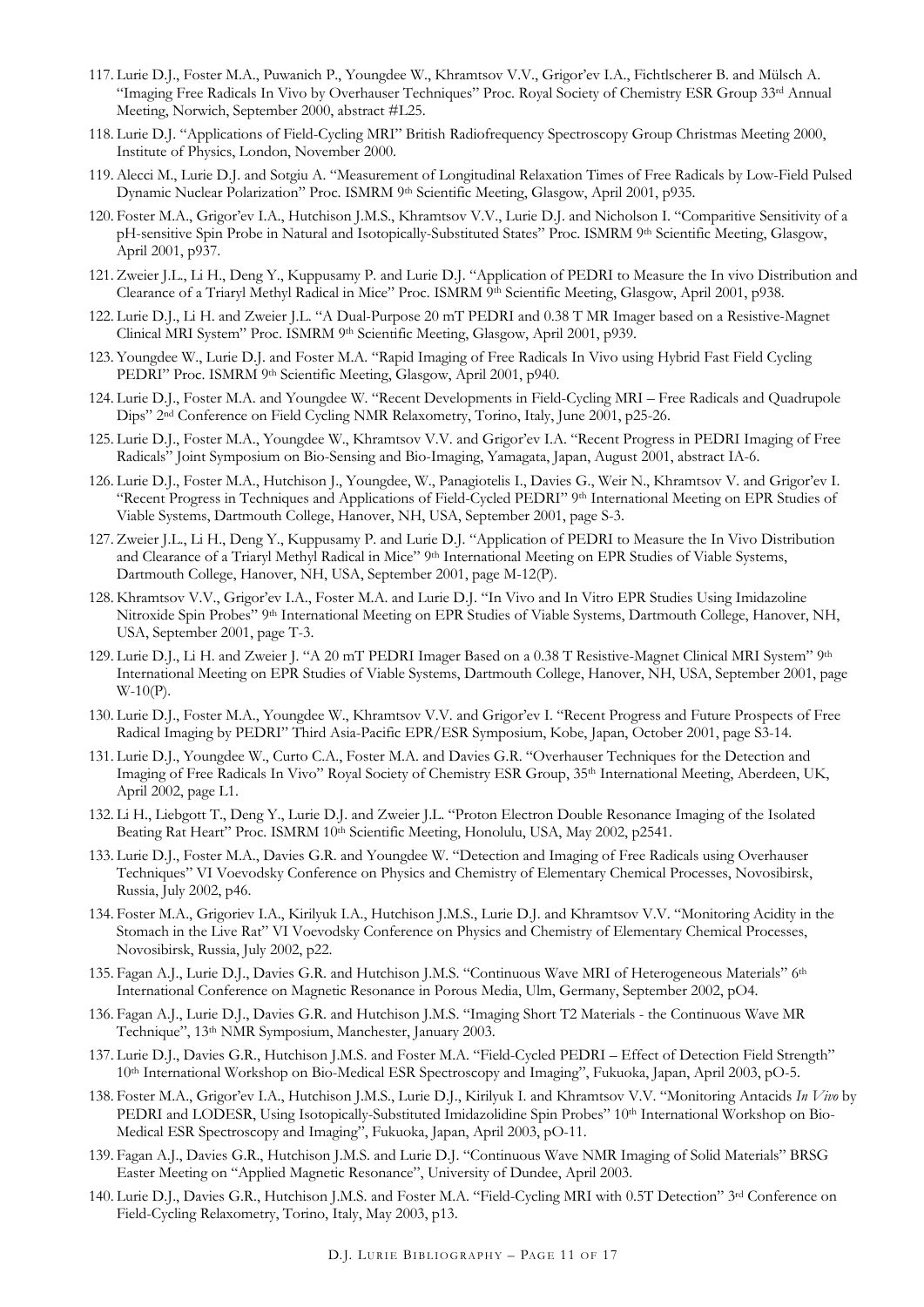- 117. Lurie D.J., Foster M.A., Puwanich P., Youngdee W., Khramtsov V.V., Grigor'ev I.A., Fichtlscherer B. and Mülsch A. "Imaging Free Radicals In Vivo by Overhauser Techniques" Proc. Royal Society of Chemistry ESR Group 33rd Annual Meeting, Norwich, September 2000, abstract #L25.
- 118. Lurie D.J. "Applications of Field-Cycling MRI" British Radiofrequency Spectroscopy Group Christmas Meeting 2000, Institute of Physics, London, November 2000.
- 119. Alecci M., Lurie D.J. and Sotgiu A. "Measurement of Longitudinal Relaxation Times of Free Radicals by Low-Field Pulsed Dynamic Nuclear Polarization" Proc. ISMRM 9th Scientific Meeting, Glasgow, April 2001, p935.
- 120. Foster M.A., Grigor'ev I.A., Hutchison J.M.S., Khramtsov V.V., Lurie D.J. and Nicholson I. "Comparitive Sensitivity of a pH-sensitive Spin Probe in Natural and Isotopically-Substituted States" Proc. ISMRM 9th Scientific Meeting, Glasgow, April 2001, p937.
- 121. Zweier J.L., Li H., Deng Y., Kuppusamy P. and Lurie D.J. "Application of PEDRI to Measure the In vivo Distribution and Clearance of a Triaryl Methyl Radical in Mice" Proc. ISMRM 9th Scientific Meeting, Glasgow, April 2001, p938.
- 122. Lurie D.J., Li H. and Zweier J.L. "A Dual-Purpose 20 mT PEDRI and 0.38 T MR Imager based on a Resistive-Magnet Clinical MRI System" Proc. ISMRM 9th Scientific Meeting, Glasgow, April 2001, p939.
- 123. Youngdee W., Lurie D.J. and Foster M.A. "Rapid Imaging of Free Radicals In Vivo using Hybrid Fast Field Cycling PEDRI" Proc. ISMRM 9th Scientific Meeting, Glasgow, April 2001, p940.
- 124. Lurie D.J., Foster M.A. and Youngdee W. "Recent Developments in Field-Cycling MRI Free Radicals and Quadrupole Dips" 2nd Conference on Field Cycling NMR Relaxometry, Torino, Italy, June 2001, p25-26.
- 125. Lurie D.J., Foster M.A., Youngdee W., Khramtsov V.V. and Grigor'ev I.A. "Recent Progress in PEDRI Imaging of Free Radicals" Joint Symposium on Bio-Sensing and Bio-Imaging, Yamagata, Japan, August 2001, abstract IA-6.
- 126. Lurie D.J., Foster M.A., Hutchison J., Youngdee, W., Panagiotelis I., Davies G., Weir N., Khramtsov V. and Grigor'ev I. "Recent Progress in Techniques and Applications of Field-Cycled PEDRI" 9th International Meeting on EPR Studies of Viable Systems, Dartmouth College, Hanover, NH, USA, September 2001, page S-3.
- 127. Zweier J.L., Li H., Deng Y., Kuppusamy P. and Lurie D.J. "Application of PEDRI to Measure the In Vivo Distribution and Clearance of a Triaryl Methyl Radical in Mice" 9th International Meeting on EPR Studies of Viable Systems, Dartmouth College, Hanover, NH, USA, September 2001, page M-12(P).
- 128. Khramtsov V.V., Grigor'ev I.A., Foster M.A. and Lurie D.J. "In Vivo and In Vitro EPR Studies Using Imidazoline Nitroxide Spin Probes" 9th International Meeting on EPR Studies of Viable Systems, Dartmouth College, Hanover, NH, USA, September 2001, page T-3.
- 129. Lurie D.J., Li H. and Zweier J. "A 20 mT PEDRI Imager Based on a 0.38 T Resistive-Magnet Clinical MRI System" 9th International Meeting on EPR Studies of Viable Systems, Dartmouth College, Hanover, NH, USA, September 2001, page W-10(P).
- 130. Lurie D.J., Foster M.A., Youngdee W., Khramtsov V.V. and Grigor'ev I. "Recent Progress and Future Prospects of Free Radical Imaging by PEDRI" Third Asia-Pacific EPR/ESR Symposium, Kobe, Japan, October 2001, page S3-14.
- 131. Lurie D.J., Youngdee W., Curto C.A., Foster M.A. and Davies G.R. "Overhauser Techniques for the Detection and Imaging of Free Radicals In Vivo" Royal Society of Chemistry ESR Group, 35th International Meeting, Aberdeen, UK, April 2002, page L1.
- 132. Li H., Liebgott T., Deng Y., Lurie D.J. and Zweier J.L. "Proton Electron Double Resonance Imaging of the Isolated Beating Rat Heart" Proc. ISMRM 10<sup>th</sup> Scientific Meeting, Honolulu, USA, May 2002, p2541.
- 133. Lurie D.J., Foster M.A., Davies G.R. and Youngdee W. "Detection and Imaging of Free Radicals using Overhauser Techniques" VI Voevodsky Conference on Physics and Chemistry of Elementary Chemical Processes, Novosibirsk, Russia, July 2002, p46.
- 134. Foster M.A., Grigoriev I.A., Kirilyuk I.A., Hutchison J.M.S., Lurie D.J. and Khramtsov V.V. "Monitoring Acidity in the Stomach in the Live Rat" VI Voevodsky Conference on Physics and Chemistry of Elementary Chemical Processes, Novosibirsk, Russia, July 2002, p22.
- 135. Fagan A.J., Lurie D.J., Davies G.R. and Hutchison J.M.S. "Continuous Wave MRI of Heterogeneous Materials" 6th International Conference on Magnetic Resonance in Porous Media, Ulm, Germany, September 2002, pO4.
- 136. Fagan A.J., Lurie D.J., Davies G.R. and Hutchison J.M.S. "Imaging Short T2 Materials the Continuous Wave MR Technique", 13th NMR Symposium, Manchester, January 2003.
- 137. Lurie D.J., Davies G.R., Hutchison J.M.S. and Foster M.A. "Field-Cycled PEDRI Effect of Detection Field Strength" 10th International Workshop on Bio-Medical ESR Spectroscopy and Imaging", Fukuoka, Japan, April 2003, pO-5.
- 138. Foster M.A., Grigor'ev I.A., Hutchison J.M.S., Lurie D.J., Kirilyuk I. and Khramtsov V.V. "Monitoring Antacids *In Vivo* by PEDRI and LODESR, Using Isotopically-Substituted Imidazolidine Spin Probes" 10<sup>th</sup> International Workshop on Bio-Medical ESR Spectroscopy and Imaging", Fukuoka, Japan, April 2003, pO-11.
- 139. Fagan A.J., Davies G.R., Hutchison J.M.S. and Lurie D.J. "Continuous Wave NMR Imaging of Solid Materials" BRSG Easter Meeting on "Applied Magnetic Resonance", University of Dundee, April 2003.
- 140. Lurie D.J., Davies G.R., Hutchison J.M.S. and Foster M.A. "Field-Cycling MRI with 0.5T Detection" 3rd Conference on Field-Cycling Relaxometry, Torino, Italy, May 2003, p13.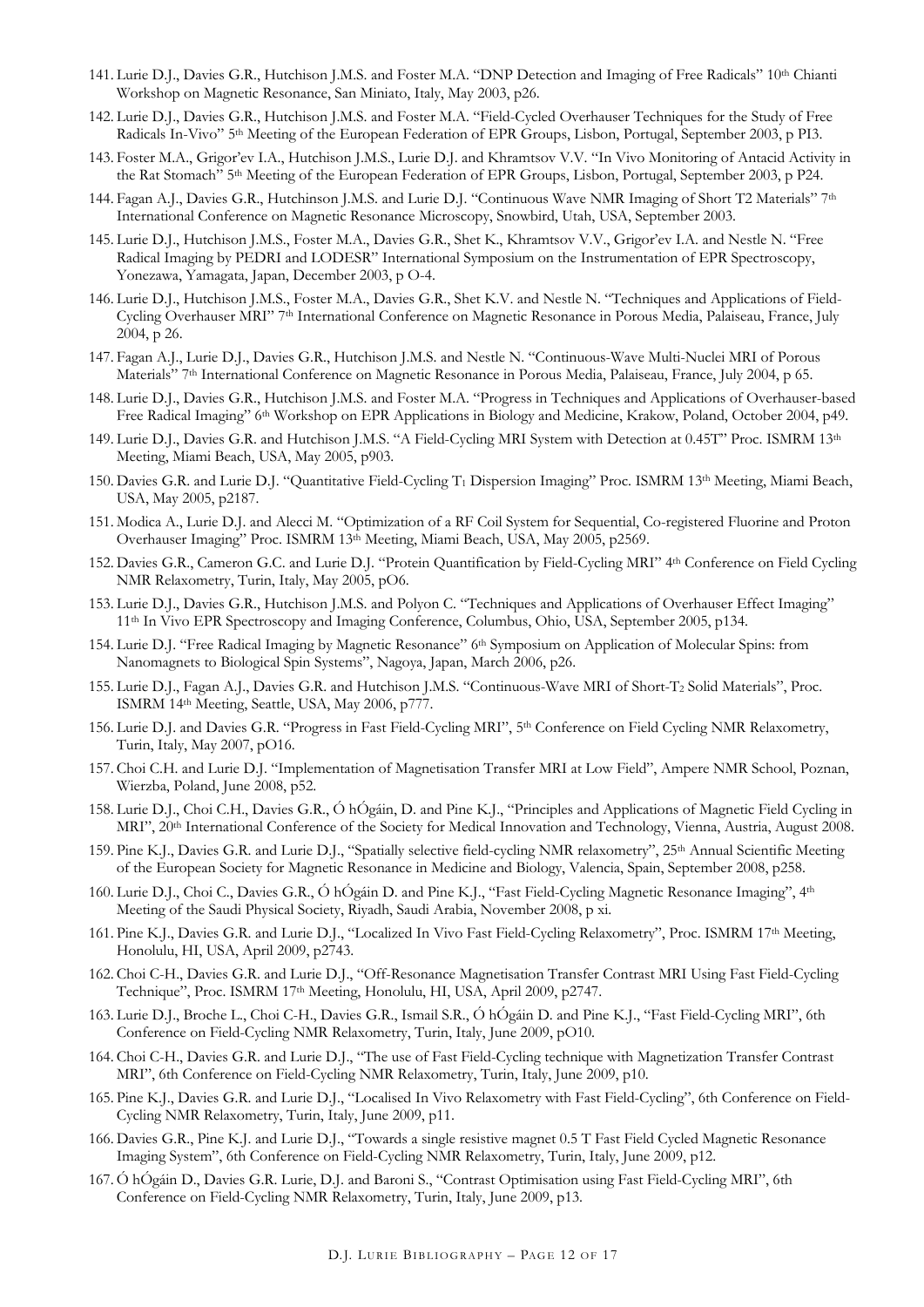- 141. Lurie D.J., Davies G.R., Hutchison J.M.S. and Foster M.A. "DNP Detection and Imaging of Free Radicals" 10th Chianti Workshop on Magnetic Resonance, San Miniato, Italy, May 2003, p26.
- 142. Lurie D.J., Davies G.R., Hutchison J.M.S. and Foster M.A. "Field-Cycled Overhauser Techniques for the Study of Free Radicals In-Vivo" 5<sup>th</sup> Meeting of the European Federation of EPR Groups, Lisbon, Portugal, September 2003, p PI3.
- 143. Foster M.A., Grigor'ev I.A., Hutchison J.M.S., Lurie D.J. and Khramtsov V.V. "In Vivo Monitoring of Antacid Activity in the Rat Stomach" 5<sup>th</sup> Meeting of the European Federation of EPR Groups, Lisbon, Portugal, September 2003, p P24.
- 144. Fagan A.J., Davies G.R., Hutchinson J.M.S. and Lurie D.J. "Continuous Wave NMR Imaging of Short T2 Materials" 7th International Conference on Magnetic Resonance Microscopy, Snowbird, Utah, USA, September 2003.
- 145. Lurie D.J., Hutchison J.M.S., Foster M.A., Davies G.R., Shet K., Khramtsov V.V., Grigor'ev I.A. and Nestle N. "Free Radical Imaging by PEDRI and LODESR" International Symposium on the Instrumentation of EPR Spectroscopy, Yonezawa, Yamagata, Japan, December 2003, p O-4.
- 146. Lurie D.J., Hutchison J.M.S., Foster M.A., Davies G.R., Shet K.V. and Nestle N. "Techniques and Applications of Field-Cycling Overhauser MRI" 7th International Conference on Magnetic Resonance in Porous Media, Palaiseau, France, July 2004, p 26.
- 147. Fagan A.J., Lurie D.J., Davies G.R., Hutchison J.M.S. and Nestle N. "Continuous-Wave Multi-Nuclei MRI of Porous Materials" 7<sup>th</sup> International Conference on Magnetic Resonance in Porous Media, Palaiseau, France, July 2004, p 65.
- 148. Lurie D.J., Davies G.R., Hutchison J.M.S. and Foster M.A. "Progress in Techniques and Applications of Overhauser-based Free Radical Imaging" 6<sup>th</sup> Workshop on EPR Applications in Biology and Medicine, Krakow, Poland, October 2004, p49.
- 149. Lurie D.J., Davies G.R. and Hutchison J.M.S. "A Field-Cycling MRI System with Detection at 0.45T" Proc. ISMRM 13th Meeting, Miami Beach, USA, May 2005, p903.
- 150. Davies G.R. and Lurie D.J. "Quantitative Field-Cycling T<sub>1</sub> Dispersion Imaging" Proc. ISMRM 13<sup>th</sup> Meeting, Miami Beach, USA, May 2005, p2187.
- 151. Modica A., Lurie D.J. and Alecci M. "Optimization of a RF Coil System for Sequential, Co-registered Fluorine and Proton Overhauser Imaging" Proc. ISMRM 13th Meeting, Miami Beach, USA, May 2005, p2569.
- 152. Davies G.R., Cameron G.C. and Lurie D.J. "Protein Quantification by Field-Cycling MRI" 4th Conference on Field Cycling NMR Relaxometry, Turin, Italy, May 2005, pO6.
- 153. Lurie D.J., Davies G.R., Hutchison J.M.S. and Polyon C. "Techniques and Applications of Overhauser Effect Imaging" 11th In Vivo EPR Spectroscopy and Imaging Conference, Columbus, Ohio, USA, September 2005, p134.
- 154. Lurie D.J. "Free Radical Imaging by Magnetic Resonance" 6th Symposium on Application of Molecular Spins: from Nanomagnets to Biological Spin Systems", Nagoya, Japan, March 2006, p26.
- 155. Lurie D.J., Fagan A.J., Davies G.R. and Hutchison J.M.S. "Continuous-Wave MRI of Short-T2 Solid Materials", Proc. ISMRM 14th Meeting, Seattle, USA, May 2006, p777.
- 156. Lurie D.J. and Davies G.R. "Progress in Fast Field-Cycling MRI", 5th Conference on Field Cycling NMR Relaxometry, Turin, Italy, May 2007, pO16.
- 157. Choi C.H. and Lurie D.J. "Implementation of Magnetisation Transfer MRI at Low Field", Ampere NMR School, Poznan, Wierzba, Poland, June 2008, p52.
- 158. Lurie D.J., Choi C.H., Davies G.R., Ó hÓgáin, D. and Pine K.J., "Principles and Applications of Magnetic Field Cycling in MRI", 20th International Conference of the Society for Medical Innovation and Technology, Vienna, Austria, August 2008.
- 159. Pine K.J., Davies G.R. and Lurie D.J., "Spatially selective field-cycling NMR relaxometry", 25th Annual Scientific Meeting of the European Society for Magnetic Resonance in Medicine and Biology, Valencia, Spain, September 2008, p258.
- 160. Lurie D.J., Choi C., Davies G.R., Ó hÓgáin D. and Pine K.J., "Fast Field-Cycling Magnetic Resonance Imaging", 4th Meeting of the Saudi Physical Society, Riyadh, Saudi Arabia, November 2008, p xi.
- 161. Pine K.J., Davies G.R. and Lurie D.J., "Localized In Vivo Fast Field-Cycling Relaxometry", Proc. ISMRM 17th Meeting, Honolulu, HI, USA, April 2009, p2743.
- 162. Choi C-H., Davies G.R. and Lurie D.J., "Off-Resonance Magnetisation Transfer Contrast MRI Using Fast Field-Cycling Technique", Proc. ISMRM 17th Meeting, Honolulu, HI, USA, April 2009, p2747.
- 163. Lurie D.J., Broche L., Choi C-H., Davies G.R., Ismail S.R., Ó hÓgáin D. and Pine K.J., "Fast Field-Cycling MRI", 6th Conference on Field-Cycling NMR Relaxometry, Turin, Italy, June 2009, pO10.
- 164. Choi C-H., Davies G.R. and Lurie D.J., "The use of Fast Field-Cycling technique with Magnetization Transfer Contrast MRI", 6th Conference on Field-Cycling NMR Relaxometry, Turin, Italy, June 2009, p10.
- 165. Pine K.J., Davies G.R. and Lurie D.J., "Localised In Vivo Relaxometry with Fast Field-Cycling", 6th Conference on Field-Cycling NMR Relaxometry, Turin, Italy, June 2009, p11.
- 166. Davies G.R., Pine K.J. and Lurie D.J., "Towards a single resistive magnet 0.5 T Fast Field Cycled Magnetic Resonance Imaging System", 6th Conference on Field-Cycling NMR Relaxometry, Turin, Italy, June 2009, p12.
- 167. Ó hÓgáin D., Davies G.R. Lurie, D.J. and Baroni S., "Contrast Optimisation using Fast Field-Cycling MRI", 6th Conference on Field-Cycling NMR Relaxometry, Turin, Italy, June 2009, p13.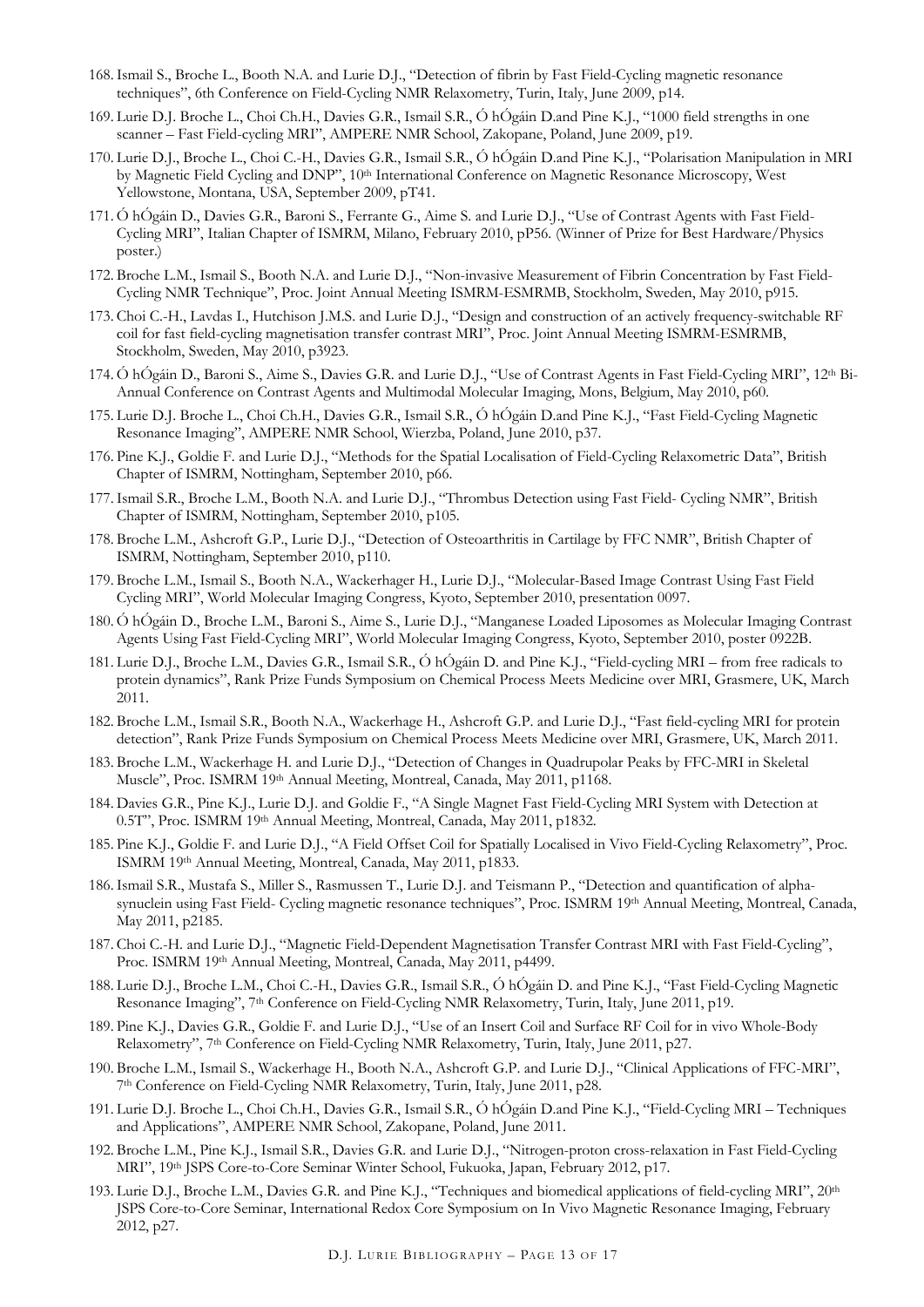- 168.Ismail S., Broche L., Booth N.A. and Lurie D.J., "Detection of fibrin by Fast Field-Cycling magnetic resonance techniques", 6th Conference on Field-Cycling NMR Relaxometry, Turin, Italy, June 2009, p14.
- 169. Lurie D.J. Broche L., Choi Ch.H., Davies G.R., Ismail S.R., Ó hÓgáin D.and Pine K.J., "1000 field strengths in one scanner – Fast Field-cycling MRI", AMPERE NMR School, Zakopane, Poland, June 2009, p19.
- 170. Lurie D.J., Broche L., Choi C.-H., Davies G.R., Ismail S.R., Ó hÓgáin D.and Pine K.J., "Polarisation Manipulation in MRI by Magnetic Field Cycling and DNP", 10<sup>th</sup> International Conference on Magnetic Resonance Microscopy, West Yellowstone, Montana, USA, September 2009, pT41.
- 171. Ó hÓgáin D., Davies G.R., Baroni S., Ferrante G., Aime S. and Lurie D.J., "Use of Contrast Agents with Fast Field-Cycling MRI", Italian Chapter of ISMRM, Milano, February 2010, pP56. (Winner of Prize for Best Hardware/Physics poster.)
- 172. Broche L.M., Ismail S., Booth N.A. and Lurie D.J., "Non-invasive Measurement of Fibrin Concentration by Fast Field-Cycling NMR Technique", Proc. Joint Annual Meeting ISMRM-ESMRMB, Stockholm, Sweden, May 2010, p915.
- 173. Choi C.-H., Lavdas I., Hutchison J.M.S. and Lurie D.J., "Design and construction of an actively frequency-switchable RF coil for fast field-cycling magnetisation transfer contrast MRI", Proc. Joint Annual Meeting ISMRM-ESMRMB, Stockholm, Sweden, May 2010, p3923.
- 174. Ó hÓgáin D., Baroni S., Aime S., Davies G.R. and Lurie D.J., "Use of Contrast Agents in Fast Field-Cycling MRI", 12th Bi-Annual Conference on Contrast Agents and Multimodal Molecular Imaging, Mons, Belgium, May 2010, p60.
- 175. Lurie D.J. Broche L., Choi Ch.H., Davies G.R., Ismail S.R., Ó hÓgáin D.and Pine K.J., "Fast Field-Cycling Magnetic Resonance Imaging", AMPERE NMR School, Wierzba, Poland, June 2010, p37.
- 176. Pine K.J., Goldie F. and Lurie D.J., "Methods for the Spatial Localisation of Field-Cycling Relaxometric Data", British Chapter of ISMRM, Nottingham, September 2010, p66.
- 177.Ismail S.R., Broche L.M., Booth N.A. and Lurie D.J., "Thrombus Detection using Fast Field- Cycling NMR", British Chapter of ISMRM, Nottingham, September 2010, p105.
- 178. Broche L.M., Ashcroft G.P., Lurie D.J., "Detection of Osteoarthritis in Cartilage by FFC NMR", British Chapter of ISMRM, Nottingham, September 2010, p110.
- 179. Broche L.M., Ismail S., Booth N.A., Wackerhager H., Lurie D.J., "Molecular-Based Image Contrast Using Fast Field Cycling MRI", World Molecular Imaging Congress, Kyoto, September 2010, presentation 0097.
- 180. Ó hÓgáin D., Broche L.M., Baroni S., Aime S., Lurie D.J., "Manganese Loaded Liposomes as Molecular Imaging Contrast Agents Using Fast Field-Cycling MRI", World Molecular Imaging Congress, Kyoto, September 2010, poster 0922B.
- 181. Lurie D.J., Broche L.M., Davies G.R., Ismail S.R., Ó hÓgáin D. and Pine K.J., "Field-cycling MRI from free radicals to protein dynamics", Rank Prize Funds Symposium on Chemical Process Meets Medicine over MRI, Grasmere, UK, March 2011.
- 182. Broche L.M., Ismail S.R., Booth N.A., Wackerhage H., Ashcroft G.P. and Lurie D.J., "Fast field-cycling MRI for protein detection", Rank Prize Funds Symposium on Chemical Process Meets Medicine over MRI, Grasmere, UK, March 2011.
- 183. Broche L.M., Wackerhage H. and Lurie D.J., "Detection of Changes in Quadrupolar Peaks by FFC-MRI in Skeletal Muscle", Proc. ISMRM 19th Annual Meeting, Montreal, Canada, May 2011, p1168.
- 184. Davies G.R., Pine K.J., Lurie D.J. and Goldie F., "A Single Magnet Fast Field-Cycling MRI System with Detection at 0.5T", Proc. ISMRM 19th Annual Meeting, Montreal, Canada, May 2011, p1832.
- 185. Pine K.J., Goldie F. and Lurie D.J., "A Field Offset Coil for Spatially Localised in Vivo Field-Cycling Relaxometry", Proc. ISMRM 19th Annual Meeting, Montreal, Canada, May 2011, p1833.
- 186.Ismail S.R., Mustafa S., Miller S., Rasmussen T., Lurie D.J. and Teismann P., "Detection and quantification of alphasynuclein using Fast Field- Cycling magnetic resonance techniques", Proc. ISMRM 19th Annual Meeting, Montreal, Canada, May 2011, p2185.
- 187. Choi C.-H. and Lurie D.J., "Magnetic Field-Dependent Magnetisation Transfer Contrast MRI with Fast Field-Cycling", Proc. ISMRM 19th Annual Meeting, Montreal, Canada, May 2011, p4499.
- 188. Lurie D.J., Broche L.M., Choi C.-H., Davies G.R., Ismail S.R., Ó hÓgáin D. and Pine K.J., "Fast Field-Cycling Magnetic Resonance Imaging", 7th Conference on Field-Cycling NMR Relaxometry, Turin, Italy, June 2011, p19.
- 189. Pine K.J., Davies G.R., Goldie F. and Lurie D.J., "Use of an Insert Coil and Surface RF Coil for in vivo Whole-Body Relaxometry", 7th Conference on Field-Cycling NMR Relaxometry, Turin, Italy, June 2011, p27.
- 190. Broche L.M., Ismail S., Wackerhage H., Booth N.A., Ashcroft G.P. and Lurie D.J., "Clinical Applications of FFC-MRI", 7th Conference on Field-Cycling NMR Relaxometry, Turin, Italy, June 2011, p28.
- 191. Lurie D.J. Broche L., Choi Ch.H., Davies G.R., Ismail S.R., Ó hÓgáin D.and Pine K.J., "Field-Cycling MRI Techniques and Applications", AMPERE NMR School, Zakopane, Poland, June 2011.
- 192. Broche L.M., Pine K.J., Ismail S.R., Davies G.R. and Lurie D.J., "Nitrogen-proton cross-relaxation in Fast Field-Cycling MRI", 19th JSPS Core-to-Core Seminar Winter School, Fukuoka, Japan, February 2012, p17.
- 193. Lurie D.J., Broche L.M., Davies G.R. and Pine K.J., "Techniques and biomedical applications of field-cycling MRI", 20th JSPS Core-to-Core Seminar, International Redox Core Symposium on In Vivo Magnetic Resonance Imaging, February 2012, p27.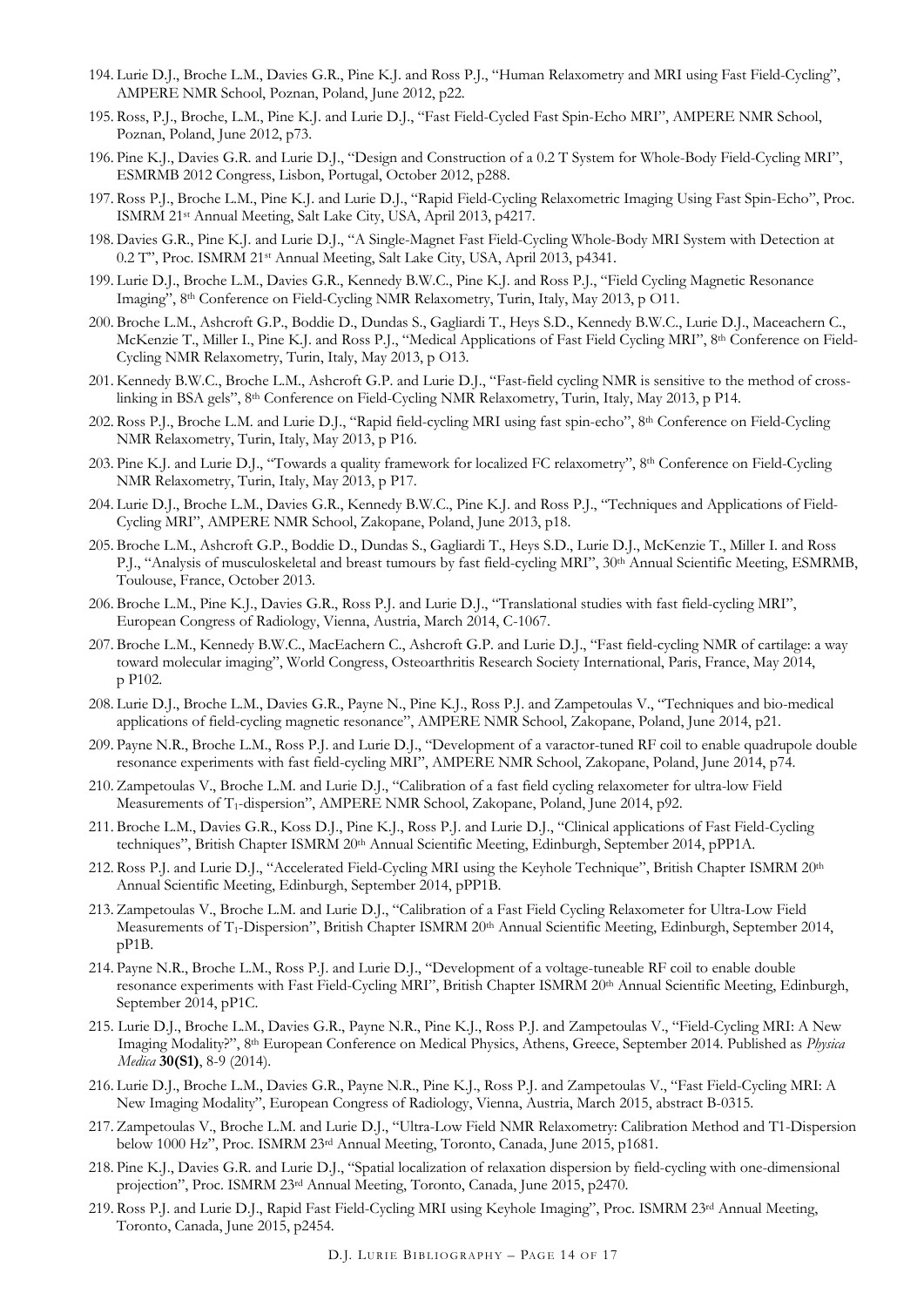- 194. Lurie D.J., Broche L.M., Davies G.R., Pine K.J. and Ross P.J., "Human Relaxometry and MRI using Fast Field-Cycling", AMPERE NMR School, Poznan, Poland, June 2012, p22.
- 195. Ross, P.J., Broche, L.M., Pine K.J. and Lurie D.J., "Fast Field-Cycled Fast Spin-Echo MRI", AMPERE NMR School, Poznan, Poland, June 2012, p73.
- 196. Pine K.J., Davies G.R. and Lurie D.J., "Design and Construction of a 0.2 T System for Whole-Body Field-Cycling MRI", ESMRMB 2012 Congress, Lisbon, Portugal, October 2012, p288.
- 197. Ross P.J., Broche L.M., Pine K.J. and Lurie D.J., "Rapid Field-Cycling Relaxometric Imaging Using Fast Spin-Echo", Proc. ISMRM 21st Annual Meeting, Salt Lake City, USA, April 2013, p4217.
- 198. Davies G.R., Pine K.J. and Lurie D.J., "A Single-Magnet Fast Field-Cycling Whole-Body MRI System with Detection at 0.2 T", Proc. ISMRM 21st Annual Meeting, Salt Lake City, USA, April 2013, p4341.
- 199. Lurie D.J., Broche L.M., Davies G.R., Kennedy B.W.C., Pine K.J. and Ross P.J., "Field Cycling Magnetic Resonance Imaging", 8th Conference on Field-Cycling NMR Relaxometry, Turin, Italy, May 2013, p O11.
- 200. Broche L.M., Ashcroft G.P., Boddie D., Dundas S., Gagliardi T., Heys S.D., Kennedy B.W.C., Lurie D.J., Maceachern C., McKenzie T., Miller I., Pine K.J. and Ross P.J., "Medical Applications of Fast Field Cycling MRI", 8<sup>th</sup> Conference on Field-Cycling NMR Relaxometry, Turin, Italy, May 2013, p O13.
- 201. Kennedy B.W.C., Broche L.M., Ashcroft G.P. and Lurie D.J., "Fast-field cycling NMR is sensitive to the method of crosslinking in BSA gels", 8<sup>th</sup> Conference on Field-Cycling NMR Relaxometry, Turin, Italy, May 2013, p P14.
- 202. Ross P.J., Broche L.M. and Lurie D.J., "Rapid field-cycling MRI using fast spin-echo", 8th Conference on Field-Cycling NMR Relaxometry, Turin, Italy, May 2013, p P16.
- 203. Pine K.J. and Lurie D.J., "Towards a quality framework for localized FC relaxometry", 8th Conference on Field-Cycling NMR Relaxometry, Turin, Italy, May 2013, p P17.
- 204. Lurie D.J., Broche L.M., Davies G.R., Kennedy B.W.C., Pine K.J. and Ross P.J., "Techniques and Applications of Field-Cycling MRI", AMPERE NMR School, Zakopane, Poland, June 2013, p18.
- 205. Broche L.M., Ashcroft G.P., Boddie D., Dundas S., Gagliardi T., Heys S.D., Lurie D.J., McKenzie T., Miller I. and Ross P.J., "Analysis of musculoskeletal and breast tumours by fast field-cycling MRI", 30<sup>th</sup> Annual Scientific Meeting, ESMRMB, Toulouse, France, October 2013.
- 206. Broche L.M., Pine K.J., Davies G.R., Ross P.J. and Lurie D.J., "Translational studies with fast field-cycling MRI", European Congress of Radiology, Vienna, Austria, March 2014, C-1067.
- 207. Broche L.M., Kennedy B.W.C., MacEachern C., Ashcroft G.P. and Lurie D.J., "Fast field-cycling NMR of cartilage: a way toward molecular imaging", World Congress, Osteoarthritis Research Society International, Paris, France, May 2014, p P102.
- 208. Lurie D.J., Broche L.M., Davies G.R., Payne N., Pine K.J., Ross P.J. and Zampetoulas V., "Techniques and bio-medical applications of field-cycling magnetic resonance", AMPERE NMR School, Zakopane, Poland, June 2014, p21.
- 209. Payne N.R., Broche L.M., Ross P.J. and Lurie D.J., "Development of a varactor-tuned RF coil to enable quadrupole double resonance experiments with fast field-cycling MRI", AMPERE NMR School, Zakopane, Poland, June 2014, p74.
- 210. Zampetoulas V., Broche L.M. and Lurie D.J., "Calibration of a fast field cycling relaxometer for ultra-low Field Measurements of T1-dispersion", AMPERE NMR School, Zakopane, Poland, June 2014, p92.
- 211. Broche L.M., Davies G.R., Koss D.J., Pine K.J., Ross P.J. and Lurie D.J., "Clinical applications of Fast Field-Cycling techniques", British Chapter ISMRM 20<sup>th</sup> Annual Scientific Meeting, Edinburgh, September 2014, pPP1A.
- 212. Ross P.J. and Lurie D.J., "Accelerated Field-Cycling MRI using the Keyhole Technique", British Chapter ISMRM 20th Annual Scientific Meeting, Edinburgh, September 2014, pPP1B.
- 213. Zampetoulas V., Broche L.M. and Lurie D.J., "Calibration of a Fast Field Cycling Relaxometer for Ultra-Low Field Measurements of T<sub>1</sub>-Dispersion", British Chapter ISMRM 20<sup>th</sup> Annual Scientific Meeting, Edinburgh, September 2014, pP1B.
- 214. Payne N.R., Broche L.M., Ross P.J. and Lurie D.J., "Development of a voltage-tuneable RF coil to enable double resonance experiments with Fast Field-Cycling MRI", British Chapter ISMRM 20<sup>th</sup> Annual Scientific Meeting, Edinburgh, September 2014, pP1C.
- 215. Lurie D.J., Broche L.M., Davies G.R., Payne N.R., Pine K.J., Ross P.J. and Zampetoulas V., "Field-Cycling MRI: A New Imaging Modality?", 8th European Conference on Medical Physics, Athens, Greece, September 2014. Published as *Physica Medica* **30(S1)**, 8-9 (2014).
- 216. Lurie D.J., Broche L.M., Davies G.R., Payne N.R., Pine K.J., Ross P.J. and Zampetoulas V., "Fast Field-Cycling MRI: A New Imaging Modality", European Congress of Radiology, Vienna, Austria, March 2015, abstract B-0315.
- 217. Zampetoulas V., Broche L.M. and Lurie D.J., "Ultra-Low Field NMR Relaxometry: Calibration Method and T1-Dispersion below 1000 Hz", Proc. ISMRM 23rd Annual Meeting, Toronto, Canada, June 2015, p1681.
- 218. Pine K.J., Davies G.R. and Lurie D.J., "Spatial localization of relaxation dispersion by field-cycling with one-dimensional projection", Proc. ISMRM 23<sup>rd</sup> Annual Meeting, Toronto, Canada, June 2015, p2470.
- 219. Ross P.J. and Lurie D.J., Rapid Fast Field-Cycling MRI using Keyhole Imaging", Proc. ISMRM 23rd Annual Meeting, Toronto, Canada, June 2015, p2454.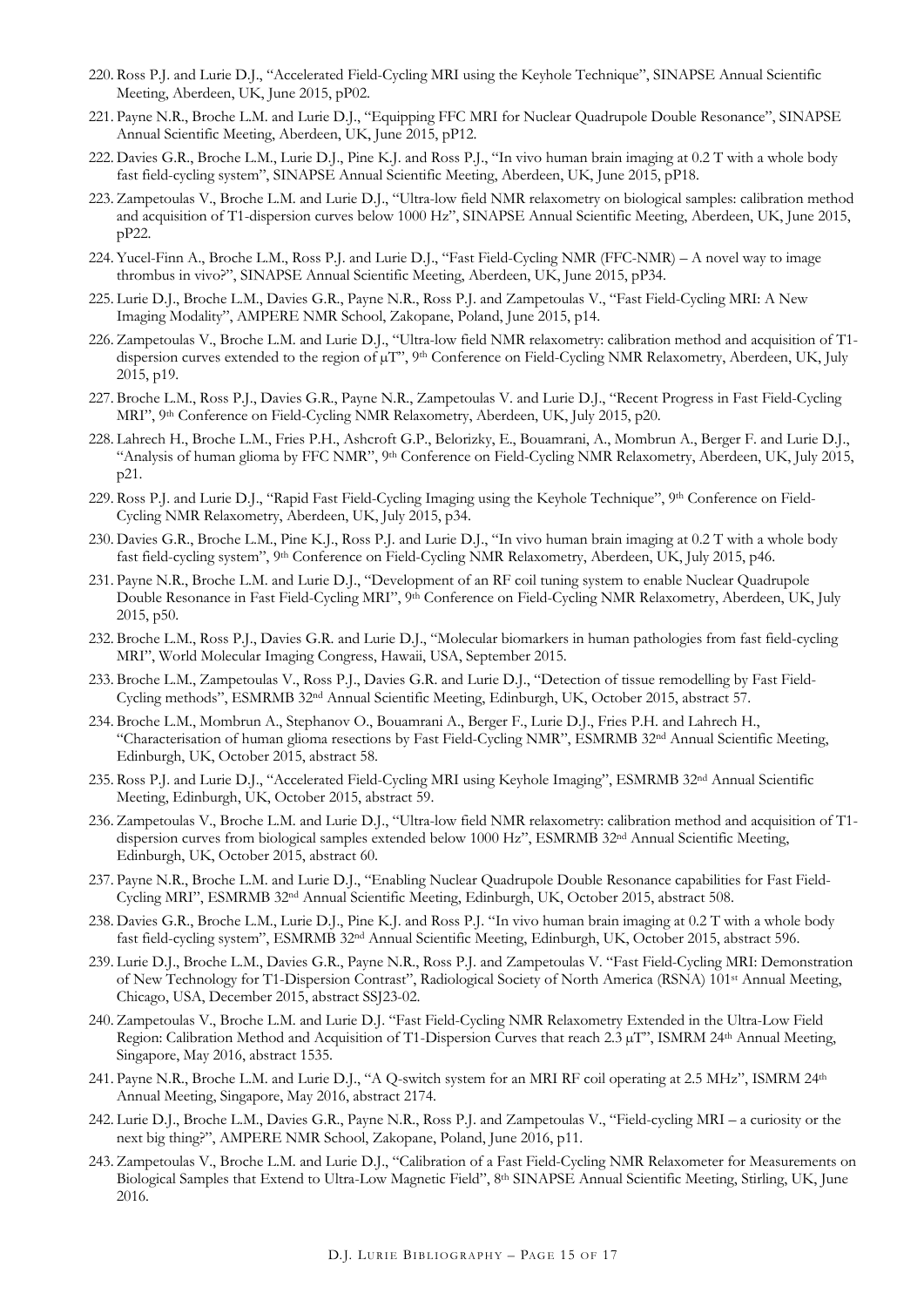- 220. Ross P.J. and Lurie D.J., "Accelerated Field-Cycling MRI using the Keyhole Technique", SINAPSE Annual Scientific Meeting, Aberdeen, UK, June 2015, pP02.
- 221. Payne N.R., Broche L.M. and Lurie D.J., "Equipping FFC MRI for Nuclear Quadrupole Double Resonance", SINAPSE Annual Scientific Meeting, Aberdeen, UK, June 2015, pP12.
- 222. Davies G.R., Broche L.M., Lurie D.J., Pine K.J. and Ross P.J., "In vivo human brain imaging at 0.2 T with a whole body fast field-cycling system", SINAPSE Annual Scientific Meeting, Aberdeen, UK, June 2015, pP18.
- 223. Zampetoulas V., Broche L.M. and Lurie D.J., "Ultra-low field NMR relaxometry on biological samples: calibration method and acquisition of T1-dispersion curves below 1000 Hz", SINAPSE Annual Scientific Meeting, Aberdeen, UK, June 2015, pP22.
- 224. Yucel-Finn A., Broche L.M., Ross P.J. and Lurie D.J., "Fast Field-Cycling NMR (FFC-NMR) A novel way to image thrombus in vivo?", SINAPSE Annual Scientific Meeting, Aberdeen, UK, June 2015, pP34.
- 225. Lurie D.J., Broche L.M., Davies G.R., Payne N.R., Ross P.J. and Zampetoulas V., "Fast Field-Cycling MRI: A New Imaging Modality", AMPERE NMR School, Zakopane, Poland, June 2015, p14.
- 226. Zampetoulas V., Broche L.M. and Lurie D.J., "Ultra-low field NMR relaxometry: calibration method and acquisition of T1 dispersion curves extended to the region of  $\mu$ T", 9<sup>th</sup> Conference on Field-Cycling NMR Relaxometry, Aberdeen, UK, July 2015, p19.
- 227. Broche L.M., Ross P.J., Davies G.R., Payne N.R., Zampetoulas V. and Lurie D.J., "Recent Progress in Fast Field-Cycling MRI", 9th Conference on Field-Cycling NMR Relaxometry, Aberdeen, UK, July 2015, p20.
- 228. Lahrech H., Broche L.M., Fries P.H., Ashcroft G.P., Belorizky, E., Bouamrani, A., Mombrun A., Berger F. and Lurie D.J., "Analysis of human glioma by FFC NMR", 9th Conference on Field-Cycling NMR Relaxometry, Aberdeen, UK, July 2015, p21.
- 229. Ross P.J. and Lurie D.J., "Rapid Fast Field-Cycling Imaging using the Keyhole Technique", 9th Conference on Field-Cycling NMR Relaxometry, Aberdeen, UK, July 2015, p34.
- 230. Davies G.R., Broche L.M., Pine K.J., Ross P.J. and Lurie D.J., "In vivo human brain imaging at 0.2 T with a whole body fast field-cycling system", 9<sup>th</sup> Conference on Field-Cycling NMR Relaxometry, Aberdeen, UK, July 2015, p46.
- 231. Payne N.R., Broche L.M. and Lurie D.J., "Development of an RF coil tuning system to enable Nuclear Quadrupole Double Resonance in Fast Field-Cycling MRI", 9th Conference on Field-Cycling NMR Relaxometry, Aberdeen, UK, July 2015, p50.
- 232. Broche L.M., Ross P.J., Davies G.R. and Lurie D.J., "Molecular biomarkers in human pathologies from fast field-cycling MRI", World Molecular Imaging Congress, Hawaii, USA, September 2015.
- 233. Broche L.M., Zampetoulas V., Ross P.J., Davies G.R. and Lurie D.J., "Detection of tissue remodelling by Fast Field-Cycling methods", ESMRMB 32nd Annual Scientific Meeting, Edinburgh, UK, October 2015, abstract 57.
- 234. Broche L.M., Mombrun A., Stephanov O., Bouamrani A., Berger F., Lurie D.J., Fries P.H. and Lahrech H., "Characterisation of human glioma resections by Fast Field-Cycling NMR", ESMRMB 32nd Annual Scientific Meeting, Edinburgh, UK, October 2015, abstract 58.
- 235. Ross P.J. and Lurie D.J., "Accelerated Field-Cycling MRI using Keyhole Imaging", ESMRMB 32nd Annual Scientific Meeting, Edinburgh, UK, October 2015, abstract 59.
- 236. Zampetoulas V., Broche L.M. and Lurie D.J., "Ultra-low field NMR relaxometry: calibration method and acquisition of T1 dispersion curves from biological samples extended below 1000 Hz", ESMRMB 32nd Annual Scientific Meeting, Edinburgh, UK, October 2015, abstract 60.
- 237. Payne N.R., Broche L.M. and Lurie D.J., "Enabling Nuclear Quadrupole Double Resonance capabilities for Fast Field-Cycling MRI", ESMRMB 32nd Annual Scientific Meeting, Edinburgh, UK, October 2015, abstract 508.
- 238. Davies G.R., Broche L.M., Lurie D.J., Pine K.J. and Ross P.J. "In vivo human brain imaging at 0.2 T with a whole body fast field-cycling system", ESMRMB 32nd Annual Scientific Meeting, Edinburgh, UK, October 2015, abstract 596.
- 239. Lurie D.J., Broche L.M., Davies G.R., Payne N.R., Ross P.J. and Zampetoulas V. "Fast Field-Cycling MRI: Demonstration of New Technology for T1-Dispersion Contrast", Radiological Society of North America (RSNA) 101st Annual Meeting, Chicago, USA, December 2015, abstract SSJ23-02.
- 240. Zampetoulas V., Broche L.M. and Lurie D.J. "Fast Field-Cycling NMR Relaxometry Extended in the Ultra-Low Field Region: Calibration Method and Acquisition of T1-Dispersion Curves that reach 2.3 µT", ISMRM 24th Annual Meeting, Singapore, May 2016, abstract 1535.
- 241. Payne N.R., Broche L.M. and Lurie D.J., "A Q-switch system for an MRI RF coil operating at 2.5 MHz", ISMRM 24th Annual Meeting, Singapore, May 2016, abstract 2174.
- 242. Lurie D.J., Broche L.M., Davies G.R., Payne N.R., Ross P.J. and Zampetoulas V., "Field-cycling MRI a curiosity or the next big thing?", AMPERE NMR School, Zakopane, Poland, June 2016, p11.
- 243. Zampetoulas V., Broche L.M. and Lurie D.J., "Calibration of a Fast Field-Cycling NMR Relaxometer for Measurements on Biological Samples that Extend to Ultra-Low Magnetic Field", 8th SINAPSE Annual Scientific Meeting, Stirling, UK, June 2016.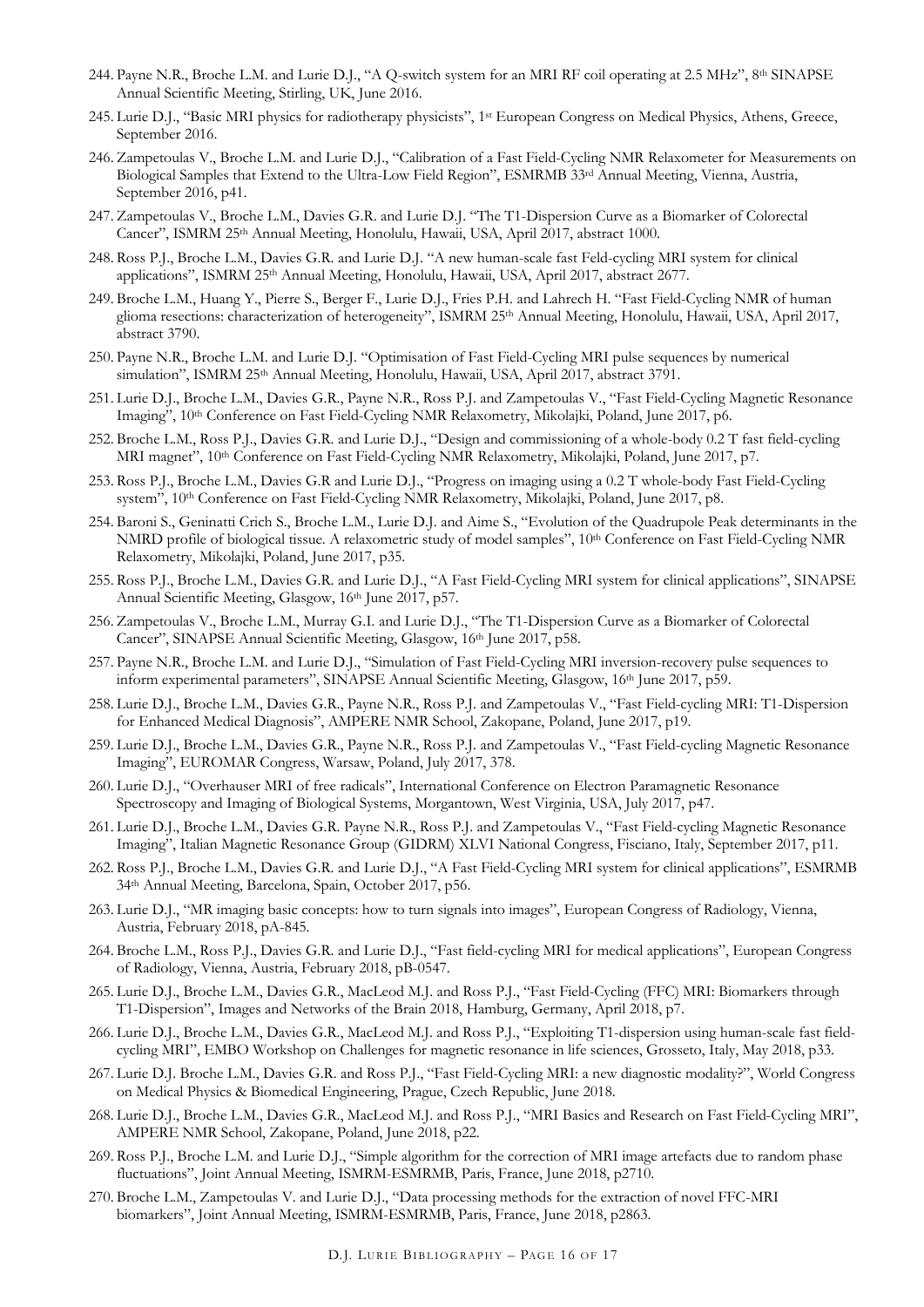- 244. Payne N.R., Broche L.M. and Lurie D.J., "A Q-switch system for an MRI RF coil operating at 2.5 MHz", 8th SINAPSE Annual Scientific Meeting, Stirling, UK, June 2016.
- 245. Lurie D.J., "Basic MRI physics for radiotherapy physicists", 1st European Congress on Medical Physics, Athens, Greece, September 2016.
- 246. Zampetoulas V., Broche L.M. and Lurie D.J., "Calibration of a Fast Field-Cycling NMR Relaxometer for Measurements on Biological Samples that Extend to the Ultra-Low Field Region", ESMRMB 33rd Annual Meeting, Vienna, Austria, September 2016, p41.
- 247. Zampetoulas V., Broche L.M., Davies G.R. and Lurie D.J. "The T1-Dispersion Curve as a Biomarker of Colorectal Cancer", ISMRM 25th Annual Meeting, Honolulu, Hawaii, USA, April 2017, abstract 1000.
- 248. Ross P.J., Broche L.M., Davies G.R. and Lurie D.J. "A new human-scale fast Feld-cycling MRI system for clinical applications", ISMRM 25th Annual Meeting, Honolulu, Hawaii, USA, April 2017, abstract 2677.
- 249. Broche L.M., Huang Y., Pierre S., Berger F., Lurie D.J., Fries P.H. and Lahrech H. "Fast Field-Cycling NMR of human glioma resections: characterization of heterogeneity", ISMRM 25th Annual Meeting, Honolulu, Hawaii, USA, April 2017, abstract 3790.
- 250. Payne N.R., Broche L.M. and Lurie D.J. "Optimisation of Fast Field-Cycling MRI pulse sequences by numerical simulation", ISMRM 25<sup>th</sup> Annual Meeting, Honolulu, Hawaii, USA, April 2017, abstract 3791.
- 251. Lurie D.J., Broche L.M., Davies G.R., Payne N.R., Ross P.J. and Zampetoulas V., "Fast Field-Cycling Magnetic Resonance Imaging", 10th Conference on Fast Field-Cycling NMR Relaxometry, Mikolajki, Poland, June 2017, p6.
- 252. Broche L.M., Ross P.J., Davies G.R. and Lurie D.J., "Design and commissioning of a whole-body 0.2 T fast field-cycling MRI magnet", 10<sup>th</sup> Conference on Fast Field-Cycling NMR Relaxometry, Mikolajki, Poland, June 2017, p7.
- 253. Ross P.J., Broche L.M., Davies G.R and Lurie D.J., "Progress on imaging using a 0.2 T whole-body Fast Field-Cycling system", 10<sup>th</sup> Conference on Fast Field-Cycling NMR Relaxometry, Mikolajki, Poland, June 2017, p8.
- 254. Baroni S., Geninatti Crich S., Broche L.M., Lurie D.J. and Aime S., "Evolution of the Quadrupole Peak determinants in the NMRD profile of biological tissue. A relaxometric study of model samples", 10<sup>th</sup> Conference on Fast Field-Cycling NMR Relaxometry, Mikolajki, Poland, June 2017, p35.
- 255. Ross P.J., Broche L.M., Davies G.R. and Lurie D.J., "A Fast Field-Cycling MRI system for clinical applications", SINAPSE Annual Scientific Meeting, Glasgow, 16th June 2017, p57.
- 256. Zampetoulas V., Broche L.M., Murray G.I. and Lurie D.J., "The T1-Dispersion Curve as a Biomarker of Colorectal Cancer", SINAPSE Annual Scientific Meeting, Glasgow, 16th June 2017, p58.
- 257. Payne N.R., Broche L.M. and Lurie D.J., "Simulation of Fast Field-Cycling MRI inversion-recovery pulse sequences to inform experimental parameters", SINAPSE Annual Scientific Meeting, Glasgow, 16th June 2017, p59.
- 258. Lurie D.J., Broche L.M., Davies G.R., Payne N.R., Ross P.J. and Zampetoulas V., "Fast Field-cycling MRI: T1-Dispersion for Enhanced Medical Diagnosis", AMPERE NMR School, Zakopane, Poland, June 2017, p19.
- 259. Lurie D.J., Broche L.M., Davies G.R., Payne N.R., Ross P.J. and Zampetoulas V., "Fast Field-cycling Magnetic Resonance Imaging", EUROMAR Congress, Warsaw, Poland, July 2017, 378.
- 260. Lurie D.J., "Overhauser MRI of free radicals", International Conference on Electron Paramagnetic Resonance Spectroscopy and Imaging of Biological Systems, Morgantown, West Virginia, USA, July 2017, p47.
- 261. Lurie D.J., Broche L.M., Davies G.R. Payne N.R., Ross P.J. and Zampetoulas V., "Fast Field-cycling Magnetic Resonance Imaging", Italian Magnetic Resonance Group (GIDRM) XLVI National Congress, Fisciano, Italy, September 2017, p11.
- 262. Ross P.J., Broche L.M., Davies G.R. and Lurie D.J., "A Fast Field-Cycling MRI system for clinical applications", ESMRMB 34th Annual Meeting, Barcelona, Spain, October 2017, p56.
- 263. Lurie D.J., "MR imaging basic concepts: how to turn signals into images", European Congress of Radiology, Vienna, Austria, February 2018, pA-845.
- 264. Broche L.M., Ross P.J., Davies G.R. and Lurie D.J., "Fast field-cycling MRI for medical applications", European Congress of Radiology, Vienna, Austria, February 2018, pB-0547.
- 265. Lurie D.J., Broche L.M., Davies G.R., MacLeod M.J. and Ross P.J., "Fast Field-Cycling (FFC) MRI: Biomarkers through T1-Dispersion", Images and Networks of the Brain 2018, Hamburg, Germany, April 2018, p7.
- 266. Lurie D.J., Broche L.M., Davies G.R., MacLeod M.J. and Ross P.J., "Exploiting T1-dispersion using human-scale fast fieldcycling MRI", EMBO Workshop on Challenges for magnetic resonance in life sciences, Grosseto, Italy, May 2018, p33.
- 267. Lurie D.J. Broche L.M., Davies G.R. and Ross P.J., "Fast Field-Cycling MRI: a new diagnostic modality?", World Congress on Medical Physics & Biomedical Engineering, Prague, Czech Republic, June 2018.
- 268. Lurie D.J., Broche L.M., Davies G.R., MacLeod M.J. and Ross P.J., "MRI Basics and Research on Fast Field-Cycling MRI", AMPERE NMR School, Zakopane, Poland, June 2018, p22.
- 269. Ross P.J., Broche L.M. and Lurie D.J., "Simple algorithm for the correction of MRI image artefacts due to random phase fluctuations", Joint Annual Meeting, ISMRM-ESMRMB, Paris, France, June 2018, p2710.
- 270. Broche L.M., Zampetoulas V. and Lurie D.J., "Data processing methods for the extraction of novel FFC-MRI biomarkers", Joint Annual Meeting, ISMRM-ESMRMB, Paris, France, June 2018, p2863.